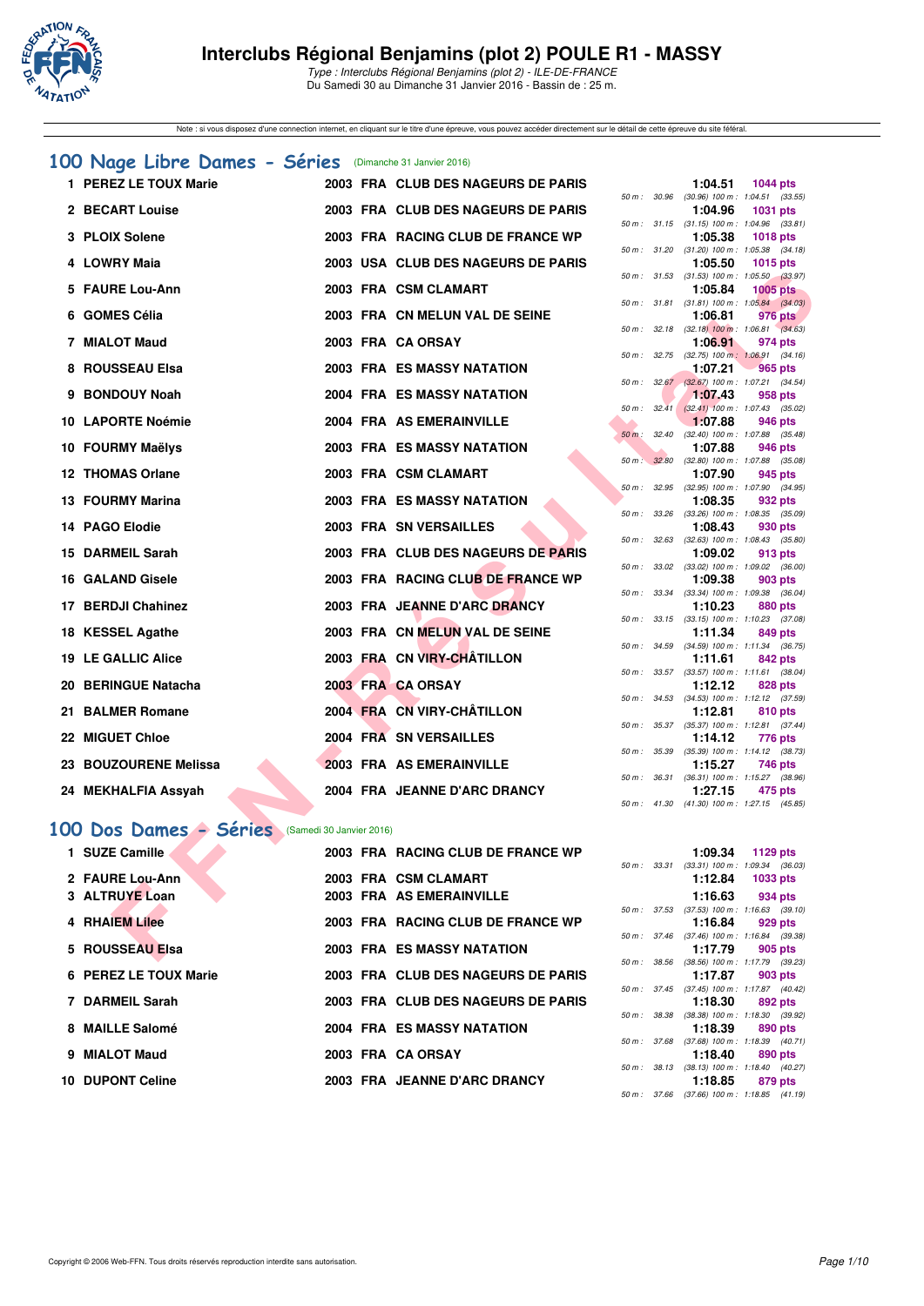

Type : Interclubs Régional Benjamins (plot 2) - ILE-DE-FRANCE Du Samedi 30 au Dimanche 31 Janvier 2016 - Bassin de : 25 m.

Note : si vous disposez d'une connection internet, en cliquant sur le titre d'une épreuve, vous pouvez accéder directement sur le détail de cette épreuve du site féféral.

#### **[100 Nage Libre Dames - Séries](http://www.ffnatation.fr/webffn/resultats.php?idact=nat&go=epr&idcpt=36753&idepr=2)** (Dimanche 31 Janvier 2016)

| 1 PEREZ LE TOUX Marie                             |  | 2003 FRA CLUB DES NAGEURS DE PARIS |              |       | 1:04.51                                                 | <b>1044 pts</b> |  |
|---------------------------------------------------|--|------------------------------------|--------------|-------|---------------------------------------------------------|-----------------|--|
| 2 BECART Louise                                   |  | 2003 FRA CLUB DES NAGEURS DE PARIS | 50 m: 30.96  |       | $(30.96)$ 100 m : 1:04.51 $(33.55)$<br>1:04.96          | 1031 pts        |  |
| 3 PLOIX Solene                                    |  | 2003 FRA RACING CLUB DE FRANCE WP  |              |       | 50 m: 31.15 (31.15) 100 m: 1:04.96 (33.81)<br>1:05.38   | <b>1018 pts</b> |  |
| 4 LOWRY Maia                                      |  | 2003 USA CLUB DES NAGEURS DE PARIS | 50 m: 31.20  |       | $(31.20)$ 100 m : 1:05.38 $(34.18)$<br>1:05.50          | <b>1015 pts</b> |  |
| 5 FAURE Lou-Ann                                   |  | 2003 FRA CSM CLAMART               |              |       | 50 m: 31.53 (31.53) 100 m: 1:05.50 (33.97)<br>1:05.84   | $1005$ pts      |  |
|                                                   |  |                                    | 50 m: 31.81  |       | $(31.81)$ 100 m : 1:05.84 $(34.03)$                     |                 |  |
| 6 GOMES Célia                                     |  | 2003 FRA CN MELUN VAL DE SEINE     |              |       | 1:06.81<br>50 m : 32.18 (32.18) 100 m : 1:06.81 (34.63) | 976 pts         |  |
| 7 MIALOT Maud                                     |  | 2003 FRA CA ORSAY                  |              |       | 1:06.91                                                 | 974 pts         |  |
| 8 ROUSSEAU Elsa                                   |  | <b>2003 FRA ES MASSY NATATION</b>  |              |       | 50 m : 32.75 (32.75) 100 m : 1:06.91 (34.16)<br>1:07.21 | <b>965 pts</b>  |  |
| 9 BONDOUY Noah                                    |  | <b>2004 FRA ES MASSY NATATION</b>  |              |       | 50 m : 32.67 (32.67) 100 m : 1:07.21 (34.54)<br>1:07.43 | 958 pts         |  |
|                                                   |  |                                    | 50 m: 32.41  |       | $(32.41)$ 100 m : 1:07.43 $(35.02)$                     |                 |  |
| 10 LAPORTE Noémie                                 |  | 2004 FRA AS EMERAINVILLE           | $50 m$ :     | 32.40 | 1:07.88<br>$(32.40)$ 100 m : 1:07.88 $(35.48)$          | 946 pts         |  |
| 10 FOURMY Maëlys                                  |  | <b>2003 FRA ES MASSY NATATION</b>  | 50 m: 32.80  |       | 1:07.88<br>$(32.80)$ 100 m : 1:07.88 $(35.08)$          | 946 pts         |  |
| 12 THOMAS Orlane                                  |  | 2003 FRA CSM CLAMART               |              |       | 1:07.90                                                 | 945 pts         |  |
| 13 FOURMY Marina                                  |  | <b>2003 FRA ES MASSY NATATION</b>  | 50 m: 32.95  |       | (32.95) 100 m : 1:07.90 (34.95)<br>1:08.35              | 932 pts         |  |
| 14 PAGO Elodie                                    |  | 2003 FRA SN VERSAILLES             | $50 m$ :     | 33.26 | $(33.26)$ 100 m : 1:08.35 $(35.09)$<br>1:08.43          | 930 pts         |  |
| 15 DARMEIL Sarah                                  |  | 2003 FRA CLUB DES NAGEURS DE PARIS | 50 m: 32.63  |       | $(32.63)$ 100 m : 1:08.43 $(35.80)$<br>1:09.02          | 913 pts         |  |
|                                                   |  |                                    |              |       | 50 m : 33.02 (33.02) 100 m : 1:09.02 (36.00)            |                 |  |
| 16 GALAND Gisele                                  |  | 2003 FRA RACING CLUB DE FRANCE WP  |              |       | 1:09.38                                                 | 903 pts         |  |
| 17 BERDJI Chahinez                                |  | 2003 FRA JEANNE D'ARC DRANCY       | 50 m : 33.34 |       | $(33.34)$ 100 m : 1:09.38 $(36.04)$<br>1:10.23          | 880 pts         |  |
| 18 KESSEL Agathe                                  |  | 2003 FRA CN MELUN VAL DE SEINE     |              |       | 50 m: 33.15 (33.15) 100 m: 1:10.23 (37.08)<br>1:11.34   | 849 pts         |  |
| <b>19 LE GALLIC Alice</b>                         |  | 2003 FRA CN VIRY-CHÂTILLON         | 50 m : 34.59 |       | $(34.59)$ 100 m : 1:11.34 $(36.75)$<br>1:11.61          | 842 pts         |  |
|                                                   |  |                                    |              |       | 50 m: 33.57 (33.57) 100 m: 1:11.61 (38.04)              |                 |  |
| 20 BERINGUE Natacha                               |  | 2003 FRA CA ORSAY                  |              |       | 1:12.12<br>50 m: 34.53 (34.53) 100 m: 1:12.12 (37.59)   | <b>828 pts</b>  |  |
| 21 BALMER Romane                                  |  | 2004 FRA CN VIRY-CHÂTILLON         |              |       | 1:12.81                                                 | 810 pts         |  |
|                                                   |  |                                    |              |       | 50 m: 35.37 (35.37) 100 m: 1:12.81 (37.44)              |                 |  |
| 22 MIGUET Chloe                                   |  | 2004 FRA SN VERSAILLES             | 50 m : 35.39 |       | 1:14.12<br>(35.39) 100 m: 1:14.12 (38.73)               | 776 pts         |  |
| 23 BOUZOURENE Melissa                             |  | 2003 FRA AS EMERAINVILLE           |              |       | 1:15.27                                                 | 746 pts         |  |
| 24 MEKHALFIA Assyah                               |  | 2004 FRA JEANNE D'ARC DRANCY       |              |       | 50 m: 36.31 (36.31) 100 m: 1:15.27 (38.96)<br>1:27.15   | 475 pts         |  |
|                                                   |  |                                    | 50 m: 41.30  |       | (41.30) 100 m: 1:27.15 (45.85)                          |                 |  |
| 00 Dos Dames - Séries<br>(Samedi 30 Janvier 2016) |  |                                    |              |       |                                                         |                 |  |
| 1 SUZE Camille                                    |  | 2003 FRA RACING CLUB DE FRANCE WP  |              |       | 1:09.34                                                 | 1129 pts        |  |
|                                                   |  |                                    | 50 m: 33.31  |       | $(33.31)$ 100 m : 1:09.34 $(36.03)$                     |                 |  |
| 2 FAURE Lou-Ann                                   |  | 2003 FRA CSM CLAMART               |              |       | 1:12.84                                                 | 1033 pts        |  |
| 3 ALTRUYE Loan                                    |  | 2003 FRA AS EMERAINVILLE           | 50 m: 37.53  |       | 1:16.63<br>$(37.53)$ 100 m : 1:16.63 $(39.10)$          | 934 pts         |  |
| <b>4 RHAIEM Lilee</b>                             |  | 2003 FRA RACING CLUB DE FRANCE WP  |              |       | 1:16.84                                                 | 929 pts         |  |
|                                                   |  |                                    |              |       | 50 m: 37.46 (37.46) 100 m: 1:16.84 (39.38)              |                 |  |
| 5 ROUSSEAU Elsa                                   |  | <b>2003 FRA ES MASSY NATATION</b>  | $\sim$       | 0000  | 1:17.79                                                 | 905 pts         |  |

# **[100 Dos Dames - Séries](http://www.ffnatation.fr/webffn/resultats.php?idact=nat&go=epr&idcpt=36753&idepr=12)** (Samedi 30 Janvier 2016)

| 1 SUZE Camille        | 2003 FRA RACING CLUB DE FRANCE WP  | 1:09.34<br>50 m: 33.31  | 1129 pts<br>$(33.31)$ 100 m : 1:09.34 (36. |
|-----------------------|------------------------------------|-------------------------|--------------------------------------------|
| 2 FAURE Lou-Ann       | 2003 FRA CSM CLAMART               | 1:12.84                 | 1033 pts                                   |
| 3 ALTRUYE Loan        | 2003 FRA AS EMERAINVILLE           | 1:16.63                 | 934 pts                                    |
| <b>4 RHAIEM Lilee</b> | 2003 FRA RACING CLUB DE FRANCE WP  | 50 m: 37.53<br>1:16.84  | $(37.53)$ 100 m : 1:16.63 (39.<br>929 pts  |
| 5 ROUSSEAU Elsa       | <b>2003 FRA ES MASSY NATATION</b>  | 50 m : 37.46<br>1:17.79 | $(37.46)$ 100 m : 1:16.84 (39.<br>905 pts  |
| 6 PEREZ LE TOUX Marie | 2003 FRA CLUB DES NAGEURS DE PARIS | 50 m: 38.56<br>1:17.87  | $(38.56)$ 100 m : 1:17.79 (39.<br>903 pts  |
| 7 DARMEIL Sarah       | 2003 FRA CLUB DES NAGEURS DE PARIS | 50 m: 37.45<br>1:18.30  | $(37.45)$ 100 m : 1:17.87 (40.<br>892 pts  |
| 8 MAILLE Salomé       | 2004 FRA ES MASSY NATATION         | 50 m : 38.38<br>1:18.39 | $(38.38)$ 100 m : 1:18.30 (39.<br>890 pts  |
| 9 MIALOT Maud         | 2003 FRA CA ORSAY                  | 50 m: 37.68<br>1:18.40  | $(37.68)$ 100 m : 1:18.39 (40.<br>890 pts  |
| 10 DUPONT Celine      | 2003 FRA JEANNE D'ARC DRANCY       | 50 m: 38.13<br>1:18.85  | $(38.13)$ 100 m : 1:18.40 (40.<br>879 pts  |
|                       |                                    |                         |                                            |

|          |       | 1:04.51           | 1044 pts            |         |
|----------|-------|-------------------|---------------------|---------|
| $50 m$ : | 30.96 | $(30.96)$ 100 m : | $1:04.51$ (33.55)   |         |
|          |       | 1:04.96           | 1031 pts            |         |
| $50 m$ : | 31.15 | $(31.15) 100 m$ : | 1:04.96 (33.81)     |         |
|          |       | 1:05.38           | <b>1018 pts</b>     |         |
| $50 m$ : | 31.20 | $(31.20)$ 100 m : | 1:05.38 (34.18)     |         |
|          |       | 1:05.50           | <b>1015 pts</b>     |         |
| $50 m$ : | 31.53 | $(31.53) 100 m$ : | 1:05.50             | (33.97) |
|          |       | 1:05.84           | $1005$ pts          |         |
| $50 m$ : | 31.81 | $(31.81) 100 m$ : | $1:05.84$ $(34.03)$ |         |
|          |       | 1:06.81           | 976 pts             |         |
| $50 m$ : | 32.18 | $(32.18) 100 m$ : | $1:06.81$ (34.63)   |         |
|          |       | 1:06.91           | 974 pts             |         |
| $50 m$ : | 32.75 | $(32.75)$ 100 m : | $1:06.91$ $(34.16)$ |         |
|          |       | 1:07.21           | $-965$ pts          |         |
| $50 m$ : | 32.67 | $(32.67)$ 100 m : | 1:07.21 (34.54)     |         |
|          |       | 1:07.43           | 958 pts             |         |
| $50 m$ : | 32.41 | $(32.41)$ 100 m : | 1:07.43 (35.02)     |         |
|          |       | 1:07.88           | 946 pts             |         |
| $50 m$ : | 32.40 | $(32.40)$ 100 m : | 1:07.88             | (35.48) |
|          |       | 1:07.88           | 946 pts             |         |
| $50 m$ : | 32.80 | $(32.80)$ 100 m : | 1:07.88             | (35.08) |
|          |       | 1:07.90           | 945 pts             |         |
| $50 m$ : | 32.95 | $(32.95)$ 100 m : | 1:07.90 (34.95)     |         |
|          |       | 1:08.35           | 932 pts             |         |
| $50 m$ : | 33.26 | $(33.26)$ 100 m : | 1:08.35 (35.09)     |         |
|          |       | 1:08.43           | 930 pts             |         |
| $50 m$ : | 32.63 | $(32.63) 100 m$ : | 1:08.43 (35.80)     |         |
|          |       | 1:09.02           | 913 pts             |         |
| $50 m$ : | 33.02 | $(33.02)$ 100 m : | 1:09.02 (36.00)     |         |
|          |       | 1:09.38           | 903 pts             |         |
| $50 m$ : | 33.34 | $(33.34) 100 m$ : | 1:09.38 (36.04)     |         |
|          |       | 1:10.23           | 880 pts             |         |
| $50 m$ : | 33.15 | $(33.15) 100 m$ : | 1:10.23             | (37.08) |
|          |       | 1:11.34           | 849 pts             |         |
| $50 m$ : | 34.59 | $(34.59) 100 m$ : | 1:11.34             | (36.75) |
|          |       | 1:11.61           | 842 pts             |         |
| $50 m$ : | 33.57 | $(33.57) 100 m$ : | $1:11.61$ (38.04)   |         |
|          |       | 1:12.12           | 828 pts             |         |
| $50 m$ : | 34.53 | $(34.53) 100 m$ : | 1:12.12 (37.59)     |         |
|          |       | 1:12.81           | <b>810 pts</b>      |         |
| $50 m$ : | 35.37 | $(35.37) 100 m$ : | $1:12.81$ (37.44)   |         |
|          |       | 1:14.12           | <b>776 pts</b>      |         |
| $50 m$ : | 35.39 | $(35.39) 100 m$ : | 1:14.12             | (38.73) |
|          |       | 1:15.27           | <b>746 pts</b>      |         |
| $50 m$ : | 36.31 | $(36.31)$ 100 m : | 1:15.27 (38.96)     |         |
|          |       | 1:27.15           | 475 pts             |         |
| $50 m$ : | 41.30 | $(41.30) 100 m$ : | 1:27.15 (45.85)     |         |
|          |       |                   |                     |         |

|             |              | 1:09.34                                    | 1129 pts            |  |
|-------------|--------------|--------------------------------------------|---------------------|--|
| $50 m$ :    |              | 33.31 (33.31) 100 m :                      | 1:09.34 (36.03)     |  |
|             |              | 1:12.84                                    | 1033 pts            |  |
|             |              | 1:16.63                                    | 934 pts             |  |
| 50 m: 37.53 |              | $(37.53) 100 m$ :                          | $1:16.63$ (39.10)   |  |
|             |              | 1:16.84                                    | 929 pts             |  |
|             | 50 m : 37.46 | $(37.46)$ 100 m :                          | 1:16.84 (39.38)     |  |
|             |              | $1:17.79$ 905 pts                          |                     |  |
|             | 50 m : 38.56 | (38.56) 100 m: 1:17.79 (39.23)             |                     |  |
|             |              | $1:17.87$ 903 pts                          |                     |  |
|             | 50 m : 37.45 | (37.45) 100 m: 1:17.87 (40.42)             |                     |  |
|             |              | $1:18.30$ 892 pts                          |                     |  |
| 50 m: 38.38 |              | $(38.38) 100 m$ :                          | 1:18.30 (39.92)     |  |
|             |              | $1:18.39$ 890 pts                          |                     |  |
|             | 50 m : 37.68 | $(37.68) 100 m$ :                          | $1:18.39$ $(40.71)$ |  |
|             |              | $1:18.40$ 890 pts                          |                     |  |
|             |              | 50 m: 38.13 (38.13) 100 m: 1:18.40 (40.27) |                     |  |
|             |              | 1:18.85 879 pts                            |                     |  |
|             |              | 50 m: 37.66 (37.66) 100 m: 1:18.85 (41.19) |                     |  |
|             |              |                                            |                     |  |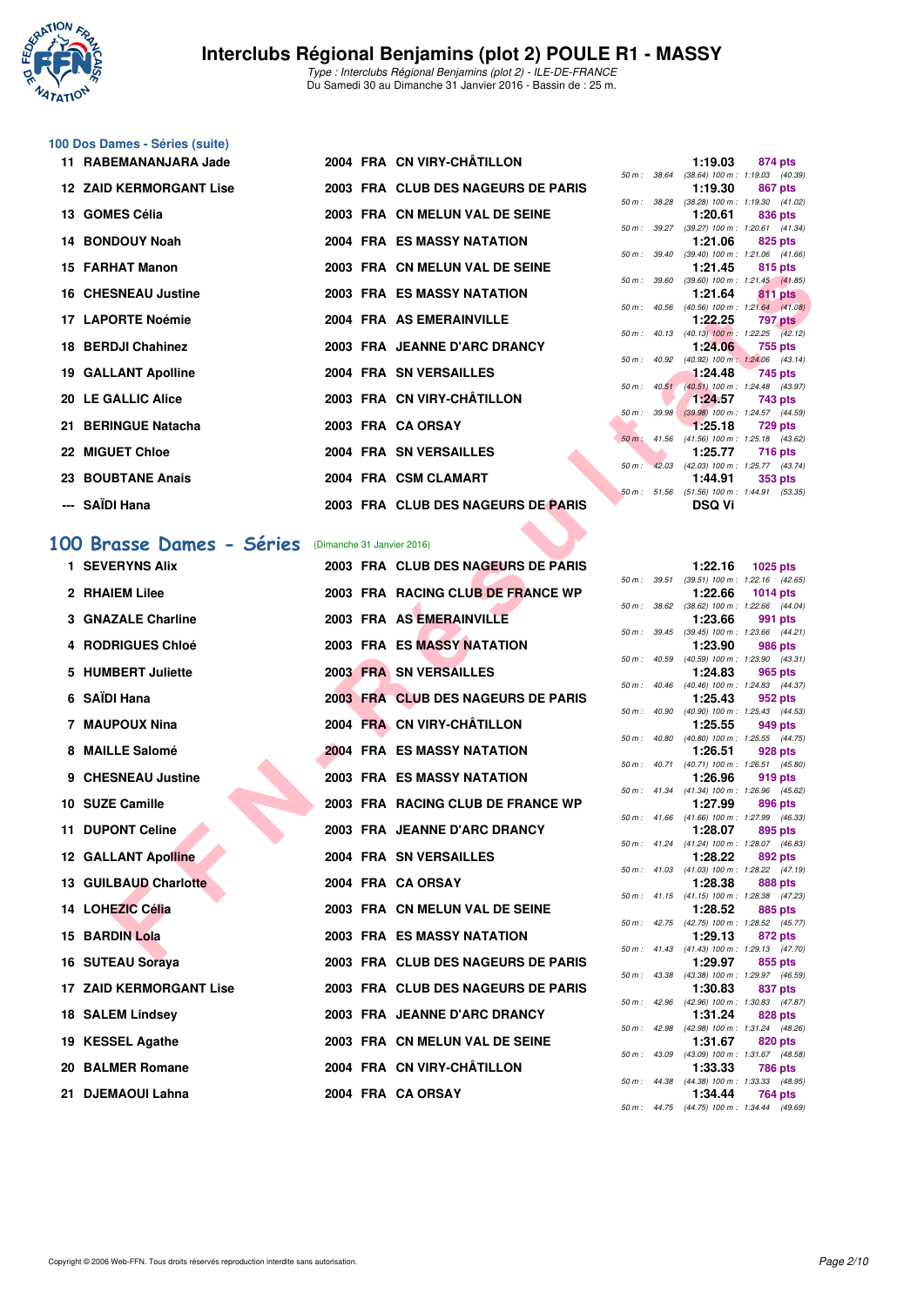

Type : Interclubs Régional Benjamins (plot 2) - ILE-DE-FRANCE Du Samedi 30 au Dimanche 31 Janvier 2016 - Bassin de : 25 m.

# **100 Dos Dames - Séries (suite)**

| 11 RABEMANANJARA Jade 2004 FRA CN VIRY-CHÂTILLON |  |                                    |  | 1:19.03                                                      |         | 874 pts |
|--------------------------------------------------|--|------------------------------------|--|--------------------------------------------------------------|---------|---------|
|                                                  |  |                                    |  | 50 m: 38.64 (38.64) 100 m: 1:19.03 (40.                      |         |         |
| <b>12 ZAID KERMORGANT Lise</b>                   |  | 2003 FRA CLUB DES NAGEURS DE PARIS |  | 1:19.30                                                      |         | 867 pts |
|                                                  |  |                                    |  | 50 m: 38.28 (38.28) 100 m: 1:19.30 (41.                      |         |         |
| 13 GOMES Célia                                   |  | 2003 FRA CN MELUN VAL DE SEINE     |  | 1:20.61                                                      | 836 pts |         |
|                                                  |  |                                    |  | 50 m: 39.27 (39.27) 100 m: 1:20.61 (41.                      |         |         |
| 14 BONDOUY Noah                                  |  | <b>2004 FRA ES MASSY NATATION</b>  |  | 1:21.06 825 pts                                              |         |         |
| 15 FARHAT Manon                                  |  | 2003 FRA CN MELUN VAL DE SEINE     |  | 50 m: 39.40 (39.40) 100 m: 1:21.06 (41.<br>1:21.45           |         |         |
|                                                  |  |                                    |  | 50 m: 39.60 (39.60) 100 m: 1:21.45 (41.                      | 815 pts |         |
| <b>16 CHESNEAU Justine</b>                       |  | <b>2003 FRA ES MASSY NATATION</b>  |  | 1:21.64                                                      | 811 pts |         |
|                                                  |  |                                    |  | 50 m : 40.56 (40.56) 100 m : 1:21.64 (41.                    |         |         |
| 17 LAPORTE Noémie                                |  | 2004 FRA AS EMERAINVILLE           |  | 1:22.25 797 pts                                              |         |         |
|                                                  |  |                                    |  | 50 m : 40.13 (40.13) 100 m : 1:22.25 (42.                    |         |         |
| 18 BERDJI Chahinez                               |  | 2003 FRA JEANNE D'ARC DRANCY       |  | 1:24.06                                                      |         | 755 pts |
|                                                  |  |                                    |  | 50 m: 40.92 (40.92) 100 m: 1:24.06 (43.                      |         |         |
| <b>19 GALLANT Apolline</b>                       |  | <b>2004 FRA SN VERSAILLES</b>      |  | $1:24.48$ 745 pts                                            |         |         |
| 20 LE GALLIC Alice                               |  | 2003 FRA CN VIRY-CHÂTILLON         |  | 50 m: 40.51 (40.51) 100 m: 1:24.48 (43.                      |         |         |
|                                                  |  |                                    |  | $1:24.57$ 743 pts<br>50 m: 39.98 (39.98) 100 m: 1:24.57 (44. |         |         |
| 21 BERINGUE Natacha                              |  | 2003 FRA CA ORSAY                  |  | 1:25.18                                                      |         | 729 pts |
|                                                  |  |                                    |  | 50 m : 41.56 (41.56) 100 m : 1:25.18 (43.                    |         |         |
| 22 MIGUET Chloe                                  |  | <b>2004 FRA SN VERSAILLES</b>      |  | 1:25.77 716 pts                                              |         |         |
|                                                  |  |                                    |  | 50 m: 42.03 (42.03) 100 m: 1:25.77 (43.                      |         |         |
| 23 BOUBTANE Anais                                |  | 2004 FRA CSM CLAMART               |  | $1:44.91$ 353 pts                                            |         |         |
|                                                  |  |                                    |  | 50 m: 51.56 (51.56) 100 m: 1:44.91 (53.                      |         |         |
| --- SAÏDI Hana                                   |  | 2003 FRA CLUB DES NAGEURS DE PARIS |  | <b>DSQ Vi</b>                                                |         |         |
|                                                  |  |                                    |  |                                                              |         |         |

#### **[100 Brasse Dames - Séries](http://www.ffnatation.fr/webffn/resultats.php?idact=nat&go=epr&idcpt=36753&idepr=22)** (Dimanche 31 Janvier 2016)

| IJ FANIJAI MAIJUI              |  | ZUUJ FRA CN MELUN VAL DE JEINE     |              | .             | <b>OTO PIS</b>                                               |
|--------------------------------|--|------------------------------------|--------------|---------------|--------------------------------------------------------------|
| <b>16 CHESNEAU Justine</b>     |  | 2003 FRA ES MASSY NATATION         |              | 1:21.64       | 50 m: 39.60 (39.60) 100 m: 1:21.45 (41.85)<br>811 pts        |
| 17 LAPORTE Noémie              |  | 2004 FRA AS EMERAINVILLE           |              | 1:22.25       | 50 m: 40.56 (40.56) 100 m: 1:21.64 (41.08)<br>797 pts        |
|                                |  |                                    |              |               | 50 m: 40.13 (40.13) 100 m: 1:22.25 (42.12)                   |
| 18 BERDJI Chahinez             |  | 2003 FRA JEANNE D'ARC DRANCY       |              | 1:24.06       | 755 pts<br>50 m : 40.92 (40.92) 100 m : 1:24.06 (43.14)      |
| <b>19 GALLANT Apolline</b>     |  | 2004 FRA SN VERSAILLES             |              | 1:24.48       | 745 pts<br>50 m: 40.51 (40.51) 100 m: 1:24.48 (43.97)        |
| 20 LE GALLIC Alice             |  | 2003 FRA CN VIRY-CHÂTILLON         |              | 1:24.57       | 743 pts                                                      |
| 21 BERINGUE Natacha            |  | 2003 FRA CA ORSAY                  |              | 1.25.18       | 50 m: 39.98 (39.98) 100 m: 1:24.57 (44.59)<br>729 pts        |
|                                |  |                                    |              |               | 50 m : 41.56 (41.56) 100 m : 1:25.18 (43.62)                 |
| 22 MIGUET Chloe                |  | 2004 FRA SN VERSAILLES             |              | 1:25.77       | <b>716 pts</b><br>50 m: 42.03 (42.03) 100 m: 1:25.77 (43.74) |
| <b>23 BOUBTANE Anais</b>       |  | 2004 FRA CSM CLAMART               |              | 1:44.91       | <b>353 pts</b>                                               |
| --- SAÏDI Hana                 |  | 2003 FRA CLUB DES NAGEURS DE PARIS |              | <b>DSQ Vi</b> | 50 m: 51.56 (51.56) 100 m: 1:44.91 (53.35)                   |
| 00 Brasse Dames - Séries       |  |                                    |              |               |                                                              |
|                                |  | (Dimanche 31 Janvier 2016)         |              |               |                                                              |
| 1 SEVERYNS Alix                |  | 2003 FRA CLUB DES NAGEURS DE PARIS |              | 1:22.16       | 1025 pts<br>50 m: 39.51 (39.51) 100 m: 1:22.16 (42.65)       |
| 2 RHAIEM Lilee                 |  | 2003 FRA RACING CLUB DE FRANCE WP  |              | 1:22.66       | <b>1014 pts</b>                                              |
| 3 GNAZALE Charline             |  | 2003 FRA AS EMERAINVILLE           | 50 m : 38.62 | 1:23.66       | $(38.62)$ 100 m : 1:22.66 $(44.04)$<br>991 pts               |
| 4 RODRIGUES Chloé              |  | 2003 FRA ES MASSY NATATION         |              | 1:23.90       | 50 m: 39.45 (39.45) 100 m: 1:23.66 (44.21)<br>986 pts        |
|                                |  |                                    |              |               | 50 m: 40.59 (40.59) 100 m: 1:23.90 (43.31)                   |
| 5 HUMBERT Juliette             |  | <b>2003 FRA SN VERSAILLES</b>      |              | 1:24.83       | 965 pts<br>50 m: 40.46 (40.46) 100 m: 1:24.83 (44.37)        |
| 6 SAÏDI Hana                   |  | 2003 FRA CLUB DES NAGEURS DE PARIS |              | 1:25.43       | 952 pts                                                      |
| 7 MAUPOUX Nina                 |  | 2004 FRA CN VIRY-CHÂTILLON         |              | 1:25.55       | 50 m: 40.90 (40.90) 100 m: 1:25.43 (44.53)<br>949 pts        |
|                                |  |                                    | 50 m : 40.80 |               | (40.80) 100 m: 1:25.55 (44.75)                               |
| 8 MAILLE Salomé                |  | <b>2004 FRA ES MASSY NATATION</b>  |              | 1:26.51       | 928 pts<br>50 m: 40.71 (40.71) 100 m: 1:26.51 (45.80)        |
| 9 CHESNEAU Justine             |  | <b>2003 FRA ES MASSY NATATION</b>  |              | 1:26.96       | 919 pts                                                      |
| 10 SUZE Camille                |  | 2003 FRA RACING CLUB DE FRANCE WP  |              | 1:27.99       | 50 m: 41.34 (41.34) 100 m: 1:26.96 (45.62)<br>896 pts        |
| 11 DUPONT Celine               |  | 2003 FRA JEANNE D'ARC DRANCY       |              | 1:28.07       | 50 m: 41.66 (41.66) 100 m: 1:27.99 (46.33)<br>895 pts        |
|                                |  |                                    |              |               | 50 m: 41.24 (41.24) 100 m: 1:28.07 (46.83)                   |
| <b>12 GALLANT Apolline</b>     |  | 2004 FRA SN VERSAILLES             |              | 1:28.22       | 892 pts<br>50 m: 41.03 (41.03) 100 m: 1:28.22 (47.19)        |
| 13 GUILBAUD Charlotte          |  | 2004 FRA CA ORSAY                  |              | 1:28.38       | 888 pts                                                      |
| 14 LOHEZIC Célia               |  | 2003 FRA CN MELUN VAL DE SEINE     |              | 1:28.52       | 50 m: 41.15 (41.15) 100 m: 1:28.38 (47.23)<br>885 pts        |
|                                |  |                                    |              |               | 50 m: 42.75 (42.75) 100 m: 1:28.52 (45.77)                   |
| 15 BARDIN Lola                 |  | 2003 FRA ES MASSY NATATION         |              | 1:29.13       | 872 pts<br>50 m: 41.43 (41.43) 100 m: 1:29.13 (47.70)        |
| 16 SUTEAU Soraya               |  | 2003 FRA CLUB DES NAGEURS DE PARIS |              | 1:29.97       | 855 pts                                                      |
| <b>17 ZAID KERMORGANT Lise</b> |  | 2003 FRA CLUB DES NAGEURS DE PARIS |              | 1:30.83       | 50 m: 43.38 (43.38) 100 m: 1:29.97 (46.59)<br>837 pts        |
| <b>18 SALEM Lindsey</b>        |  | 2003 FRA JEANNE D'ARC DRANCY       |              |               | 50 m: 42.96 (42.96) 100 m: 1:30.83 (47.87)                   |
|                                |  |                                    |              | 1:31.24       | 828 pts<br>50 m: 42.98 (42.98) 100 m: 1:31.24 (48.26)        |
| 19 KESSEL Agathe               |  | 2003 FRA CN MELUN VAL DE SEINE     |              | 1:31.67       | 820 pts<br>50 m: 43.09 (43.09) 100 m: 1:31.67 (48.58)        |
| 20 BALMER Romane               |  | 2004 FRA CN VIRY-CHÂTILLON         |              | 1:33.33       | 786 pts                                                      |
| 21 DJEMAOUI Lahna              |  | 2004 FRA CA ORSAY                  |              | 1:34.44       | 50 m: 44.38 (44.38) 100 m: 1:33.33 (48.95)<br>764 pts        |
|                                |  |                                    |              |               |                                                              |

|                  |       | 1:19.03           | 874 pts             |  |
|------------------|-------|-------------------|---------------------|--|
| 50 m : 38.64     |       | $(38.64) 100 m$ : | 1:19.03 (40.39)     |  |
|                  |       | 1:19.30           | 867 pts             |  |
| 50 m: 38.28      |       | $(38.28)$ 100 m : | $1:19.30$ $(41.02)$ |  |
|                  |       | 1:20.61           | 836 pts             |  |
| $50 m$ :         | 39.27 | $(39.27)$ 100 m : | $1:20.61$ $(41.34)$ |  |
|                  |       | 1:21.06           | 825 pts             |  |
| 50 m: 39.40      |       | $(39.40)$ 100 m : | 1:21.06 (41.66)     |  |
|                  |       | 1:21.45           | 815 pts             |  |
| 50 m : 39.60     |       | $(39.60)$ 100 m : | $1:21.45$ $(41.85)$ |  |
|                  |       | 1:21.64           | 811 pts             |  |
| $50 m$ : $40.56$ |       | $(40.56)$ 100 m : | $1:21.64$ $(41.08)$ |  |
|                  |       | 1:22.25           | <b>797 pts</b>      |  |
| $50 m$ : $40.13$ |       | $(40.13)$ 100 m : | $1:22.25$ $(42.12)$ |  |
|                  |       | 1:24.06           | 755 pts             |  |
| 50 m: 40.92      |       | $(40.92)$ 100 m : | $1:24.06$ $(43.14)$ |  |
|                  |       | 1:24.48           | $-745$ pts          |  |
| $50 m$ : $40.51$ |       | $(40.51)$ 100 m : | 1:24.48 (43.97)     |  |
|                  |       | 1:24.57           | 743 pts             |  |
| 50 m :           | 39.98 | $(39.98)$ 100 m : | 1:24.57 (44.59)     |  |
|                  |       | 1:25.18           | 729 pts             |  |
| $50 m$ : 41.56   |       | $(41.56) 100 m$ : | 1:25.18 (43.62)     |  |
|                  |       | 1:25.77           | <b>716 pts</b>      |  |
| 50 m :           | 42.03 | $(42.03)$ 100 m : | 1:25.77 (43.74)     |  |
|                  |       | 1:44.91           | 353 pts             |  |
| $50 m$ :         | 51.56 | $(51.56) 100 m$ : | 1:44.91 (53.35)     |  |
|                  |       | DSQ Vi            |                     |  |

|             |       | 1:22.16           | 1025 pts            |
|-------------|-------|-------------------|---------------------|
| 50 m: 39.51 |       | $(39.51)$ 100 m : | 1:22.16 (42.65)     |
|             |       | 1:22.66           | <b>1014 pts</b>     |
| $50 m$ :    | 38.62 | $(38.62)$ 100 m : | 1:22.66 (44.04)     |
|             |       | 1:23.66           | 991 pts             |
| 50 m :      | 39.45 | $(39.45)$ 100 m : | 1:23.66 (44.21)     |
|             |       | 1:23.90           | 986 pts             |
| 50 m :      | 40.59 | $(40.59)$ 100 m : | 1:23.90 (43.31)     |
|             |       | 1:24.83           | 965 pts             |
| $50 m$ :    | 40.46 | $(40.46)$ 100 m : | 1:24.83 (44.37)     |
|             |       | 1:25.43           | 952 pts             |
| $50 m$ :    | 40.90 | $(40.90)$ 100 m : | 1:25.43 (44.53)     |
|             |       | 1:25.55           | 949 pts             |
| $50 m$ :    | 40.80 | $(40.80)$ 100 m : | 1:25.55(44.75)      |
|             |       | 1:26.51           | 928 pts             |
| $50 m$ :    | 40.71 | $(40.71)$ 100 m : | $1:26.51$ $(45.80)$ |
|             |       | 1:26.96           | 919 pts             |
| $50 m$ :    | 41.34 | $(41.34) 100 m$ : | 1:26.96 (45.62)     |
|             |       | 1:27.99           | 896 pts             |
| $50 m$ :    | 41.66 | $(41.66) 100 m$ : | 1:27.99 (46.33)     |
|             |       | 1:28.07           | 895 pts             |
| $50 m$ :    | 41.24 | $(41.24) 100 m$ : | 1:28.07 (46.83)     |
|             |       | 1:28.22           | 892 pts             |
| $50 m$ :    | 41.03 | $(41.03) 100 m$ : | $1:28.22$ $(47.19)$ |
|             |       | 1:28.38           | 888 pts             |
| $50 m$ :    | 41.15 | $(41.15) 100 m$ : | 1:28.38 (47.23)     |
|             |       | 1:28.52           | 885 pts             |
| $50 m$ :    | 42.75 | $(42.75)$ 100 m : | 1:28.52 (45.77)     |
|             |       | 1:29.13           | 872 pts             |
| $50 m$ :    | 41.43 | $(41.43) 100 m$ : | (47.70)<br>1:29.13  |
|             |       | 1:29.97           | 855 pts             |
| $50 m$ :    | 43.38 | $(43.38) 100 m$ : | 1:29.97 (46.59)     |
|             |       | 1:30.83           | 837 pts             |
| $50 m$ :    | 42.96 | $(42.96)$ 100 m : | 1:30.83 (47.87)     |
|             |       | 1:31.24           | 828 pts             |
| $50 m$ :    | 42.98 | $(42.98) 100 m$ : | 1:31.24 (48.26)     |
|             |       | 1:31.67           | 820 pts             |
| $50 m$ :    | 43.09 | $(43.09)$ 100 m : | 1:31.67 (48.58)     |
|             |       | 1:33.33           | <b>786 pts</b>      |
| $50 m$ :    | 44.38 | $(44.38) 100 m$ : | 1:33.33 (48.95)     |
|             |       | 1:34.44           | 764 pts             |
| $50 m$ :    | 44.75 | $(44.75) 100 m$ : | 1:34.44<br>(49.69)  |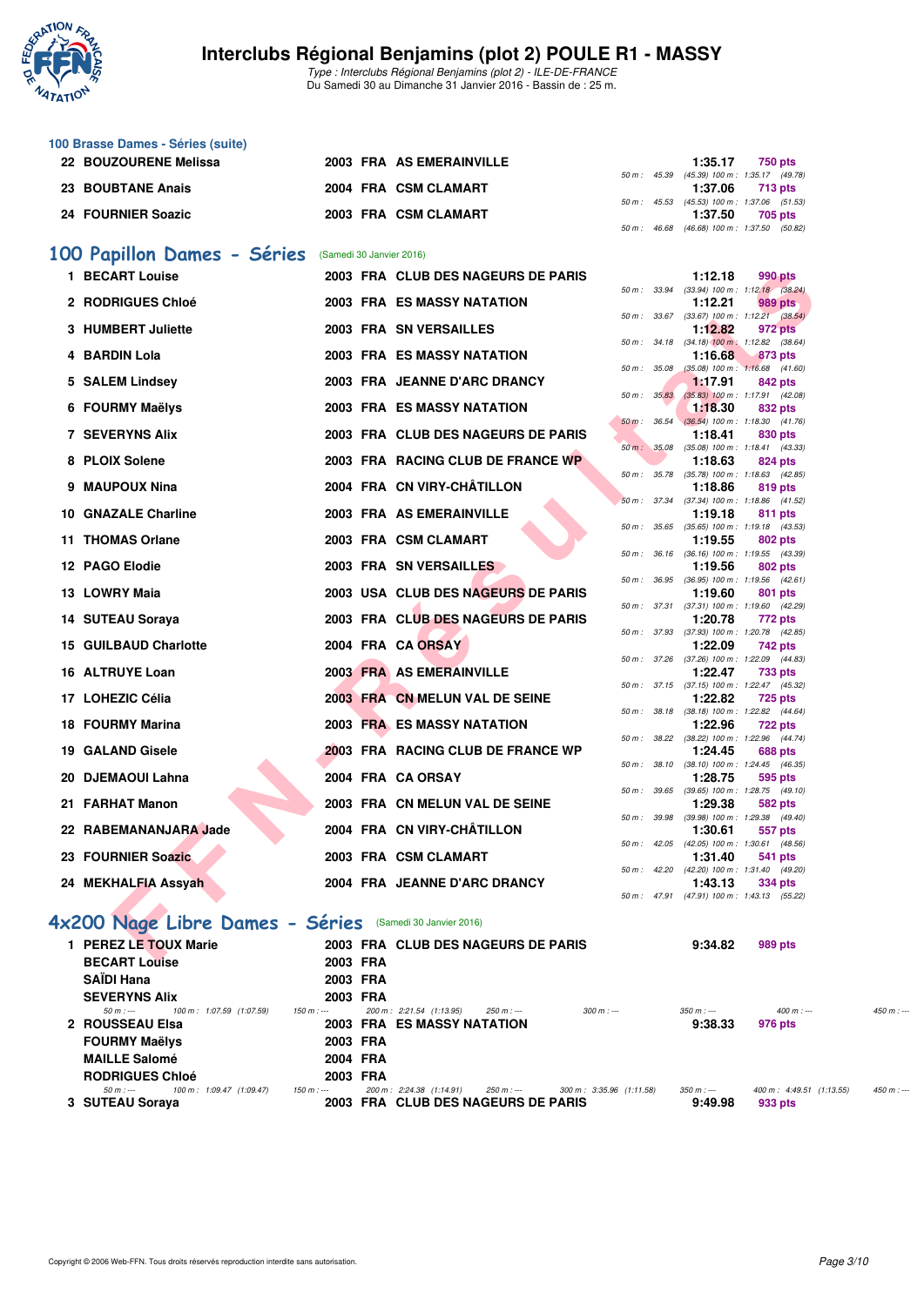

Type : Interclubs Régional Benjamins (plot 2) - ILE-DE-FRANCE Du Samedi 30 au Dimanche 31 Janvier 2016 - Bassin de : 25 m.

| 100 Brasse Dames - Séries (suite) |  |                          |  |         |                                              |
|-----------------------------------|--|--------------------------|--|---------|----------------------------------------------|
| 22 BOUZOURENE Melissa             |  | 2003 FRA AS EMERAINVILLE |  | 1:35.17 | <b>750 pts</b>                               |
|                                   |  |                          |  |         | 50 m: 45.39 (45.39) 100 m: 1:35.17 (49.78)   |
| 23 BOUBTANE Anais                 |  | 2004 FRA CSM CLAMART     |  | 1:37.06 | 713 pts                                      |
|                                   |  |                          |  |         | 50 m: 45.53 (45.53) 100 m: 1:37.06 (51.53)   |
| 24 FOURNIER Soazic                |  | 2003 FRA CSM CLAMART     |  | 1:37.50 | 705 pts                                      |
|                                   |  |                          |  |         | 50 m : 46.68 (46.68) 100 m : 1:37.50 (50.82) |

#### **[100 Papillon Dames - Séries](http://www.ffnatation.fr/webffn/resultats.php?idact=nat&go=epr&idcpt=36753&idepr=32)** (Samedi 30 Janvier 2016)

| 1 BECART Louise                                          |          | 2003 FRA CLUB DES NAGEURS DE PARIS |              | 1:12.18                                               | 990 pts |  |
|----------------------------------------------------------|----------|------------------------------------|--------------|-------------------------------------------------------|---------|--|
| 2 RODRIGUES Chloé                                        |          | 2003 FRA ES MASSY NATATION         |              | 50 m: 33.94 (33.94) 100 m: 1:12.18 (38.24)<br>1:12.21 | 989 pts |  |
|                                                          |          |                                    |              | 50 m : 33.67 (33.67) 100 m : 1:12.21 (38.54)          |         |  |
| 3 HUMBERT Juliette                                       |          | 2003 FRA SN VERSAILLES             |              | 1:12.82                                               | 972 pts |  |
|                                                          |          |                                    | 50 m : 34.18 | $(34.18)$ 100 m : 1:12.82 $(38.64)$                   |         |  |
| 4 BARDIN Lola                                            |          | <b>2003 FRA ES MASSY NATATION</b>  | 50 m : 35.08 | 1:16.68<br>$(35.08)$ 100 m : 1:16.68 $(41.60)$        | 873 pts |  |
| 5 SALEM Lindsey                                          |          | 2003 FRA JEANNE D'ARC DRANCY       |              | 1:17.91                                               | 842 pts |  |
|                                                          |          |                                    | 50 m: 35.83  | $(35.83)$ 100 m : 1:17.91 $(42.08)$                   |         |  |
| 6 FOURMY Maëlys                                          |          | 2003 FRA ES MASSY NATATION         |              | 1:18.30                                               | 832 pts |  |
|                                                          |          |                                    | 50 m: 36.54  | $(36.54)$ 100 m : 1:18.30 $(41.76)$                   |         |  |
| <b>7 SEVERYNS Alix</b>                                   |          | 2003 FRA CLUB DES NAGEURS DE PARIS | 50 m: 35.08  | 1:18.41<br>(35.08) 100 m: 1:18.41 (43.33)             | 830 pts |  |
| 8 PLOIX Solene                                           |          | 2003 FRA RACING CLUB DE FRANCE WP  |              | 1:18.63                                               | 824 pts |  |
|                                                          |          |                                    | 50 m : 35.78 | $(35.78)$ 100 m : 1:18.63 $(42.85)$                   |         |  |
| 9 MAUPOUX Nina                                           |          | 2004 FRA CN VIRY-CHÂTILLON         |              | 1:18.86                                               | 819 pts |  |
| 10 GNAZALE Charline                                      |          | 2003 FRA AS EMERAINVILLE           |              | 50 m: 37.34 (37.34) 100 m: 1:18.86 (41.52)<br>1:19.18 |         |  |
|                                                          |          |                                    | 50 m : 35.65 | $(35.65)$ 100 m : 1:19.18 $(43.53)$                   | 811 pts |  |
| 11 THOMAS Orlane                                         |          | 2003 FRA CSM CLAMART               |              | 1:19.55                                               | 802 pts |  |
|                                                          |          |                                    |              | 50 m: 36.16 (36.16) 100 m: 1:19.55 (43.39)            |         |  |
| 12 PAGO Elodie                                           |          | 2003 FRA SN VERSAILLES             |              | 1:19.56                                               | 802 pts |  |
| 13 LOWRY Maia                                            |          | 2003 USA CLUB DES NAGEURS DE PARIS | 50 m : 36.95 | $(36.95)$ 100 m : 1:19.56 $(42.61)$<br>1:19.60        | 801 pts |  |
|                                                          |          |                                    | 50 m: 37.31  | (37.31) 100 m: 1:19.60 (42.29)                        |         |  |
| 14 SUTEAU Soraya                                         |          | 2003 FRA CLUB DES NAGEURS DE PARIS |              | 1:20.78                                               | 772 pts |  |
|                                                          |          |                                    |              | 50 m: 37.93 (37.93) 100 m: 1:20.78 (42.85)            |         |  |
| <b>15 GUILBAUD Charlotte</b>                             |          | 2004 FRA CA ORSAY                  | 50 m : 37.26 | 1:22.09                                               | 742 pts |  |
| 16 ALTRUYE Loan                                          |          | 2003 FRA AS EMERAINVILLE           |              | (37.26) 100 m : 1:22.09 (44.83)<br>1:22.47            | 733 pts |  |
|                                                          |          |                                    |              | 50 m: 37.15 (37.15) 100 m: 1:22.47 (45.32)            |         |  |
| 17 LOHEZIC Célia                                         |          | 2003 FRA CN MELUN VAL DE SEINE     |              | 1:22.82                                               | 725 pts |  |
|                                                          |          |                                    |              | 50 m: 38.18 (38.18) 100 m: 1:22.82 (44.64)            |         |  |
| <b>18 FOURMY Marina</b>                                  |          | 2003 FRA ES MASSY NATATION         | 50 m: 38.22  | 1:22.96<br>(38.22) 100 m: 1:22.96 (44.74)             | 722 pts |  |
| 19 GALAND Gisele                                         |          | 2003 FRA RACING CLUB DE FRANCE WP  |              | 1:24.45                                               | 688 pts |  |
|                                                          |          |                                    | 50 m : 38.10 | (38.10) 100 m: 1:24.45 (46.35)                        |         |  |
| 20 DJEMAOUI Lahna                                        |          | 2004 FRA CA ORSAY                  |              | 1:28.75                                               | 595 pts |  |
| 21 FARHAT Manon                                          |          | 2003 FRA CN MELUN VAL DE SEINE     |              | 50 m: 39.65 (39.65) 100 m: 1:28.75 (49.10)<br>1:29.38 | 582 pts |  |
|                                                          |          |                                    |              | 50 m: 39.98 (39.98) 100 m: 1:29.38 (49.40)            |         |  |
| 22 RABEMANANJARA Jade                                    |          | 2004 FRA CN VIRY-CHÂTILLON         |              | 1:30.61                                               | 557 pts |  |
|                                                          |          |                                    |              | 50 m: 42.05 (42.05) 100 m: 1:30.61 (48.56)            |         |  |
| <b>23 FOURNIER Soazic</b>                                |          | 2003 FRA CSM CLAMART               |              | 1:31.40                                               | 541 pts |  |
| 24 MEKHALFIA Assyah                                      |          | 2004 FRA JEANNE D'ARC DRANCY       |              | 50 m: 42.20 (42.20) 100 m: 1:31.40 (49.20)<br>1:43.13 | 334 pts |  |
|                                                          |          |                                    | 50 m : 47.91 | (47.91) 100 m: 1:43.13 (55.22)                        |         |  |
|                                                          |          |                                    |              |                                                       |         |  |
| 1x200 Nage Libre Dames - Séries (Samedi 30 Janvier 2016) |          |                                    |              |                                                       |         |  |
| 1 PEREZ LE TOUX Marie                                    |          | 2003 FRA CLUB DES NAGEURS DE PARIS |              | 9:34.82                                               | 989 pts |  |
| <b>DECADTIANA</b>                                        | 0000 FBA |                                    |              |                                                       |         |  |

# **[4x200 Nage Libre Dames - Séries](http://www.ffnatation.fr/webffn/resultats.php?idact=nat&go=epr&idcpt=36753&idepr=44)** (Samedi 30 Janvier 2016)

| 1 PEREZ LE TOUX Marie                  |             |          | 2003 FRA CLUB DES NAGEURS DE PARIS      |                          | 9:34.82     | 989 pts                                 |             |
|----------------------------------------|-------------|----------|-----------------------------------------|--------------------------|-------------|-----------------------------------------|-------------|
| <b>BECART Louise</b>                   |             | 2003 FRA |                                         |                          |             |                                         |             |
| <b>SAIDI Hana</b>                      |             | 2003 FRA |                                         |                          |             |                                         |             |
| <b>SEVERYNS Alix</b>                   |             | 2003 FRA |                                         |                          |             |                                         |             |
| 100 m: 1:07.59 (1:07.59)<br>$50 m : -$ | 150 m : --- |          | 200 m: 2:21.54 (1:13.95)<br>250 m : --- | $300 \text{ m}$ : ---    | $350 m : -$ | $400 m: -$                              | $450 m : -$ |
| 2 ROUSSEAU EIsa                        |             |          | 2003 FRA ES MASSY NATATION              |                          | 9:38.33     | 976 pts                                 |             |
| <b>FOURMY Maëlys</b>                   |             | 2003 FRA |                                         |                          |             |                                         |             |
| <b>MAILLE Salomé</b>                   | 2004 FRA    |          |                                         |                          |             |                                         |             |
| <b>RODRIGUES Chloé</b>                 |             | 2003 FRA |                                         |                          |             |                                         |             |
| 100 m: 1:09.47 (1:09.47)<br>$50 m : -$ | 150 m : --- |          | 200 m: 2:24.38 (1:14.91)<br>250 m : --- | 300 m: 3:35.96 (1:11.58) | $350 m : -$ | $400 \text{ m}$ : $4:49.51$ $(1:13.55)$ | $450 m: -$  |
| 3 SUTEAU Soraya                        |             |          | 2003 FRA CLUB DES NAGEURS DE PARIS      |                          | 9:49.98     | 933 pts                                 |             |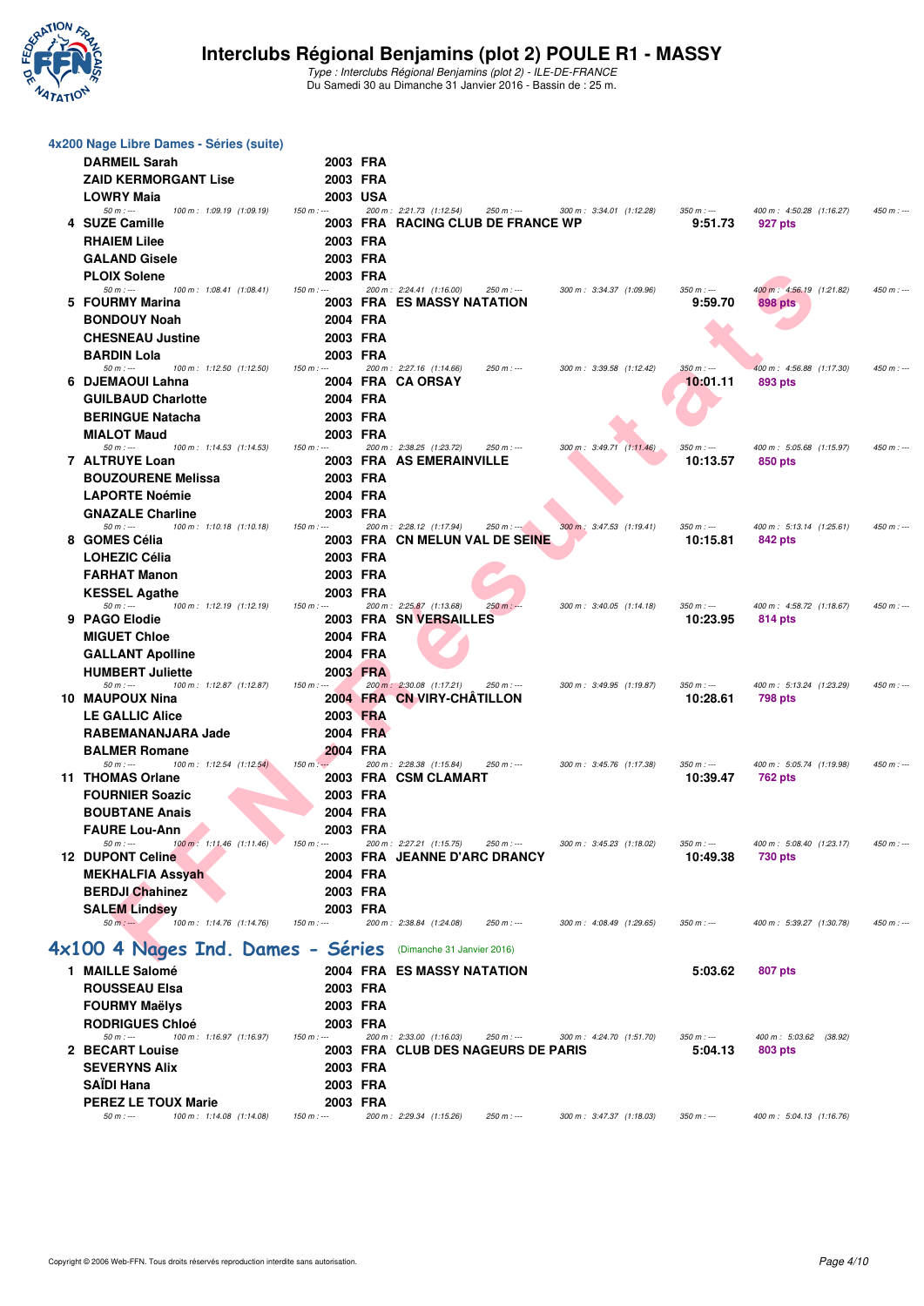

| 4x200 Nage Libre Dames - Séries (suite)                                    |             |          |                                                                               |                          |                         |                                     |             |
|----------------------------------------------------------------------------|-------------|----------|-------------------------------------------------------------------------------|--------------------------|-------------------------|-------------------------------------|-------------|
| <b>DARMEIL Sarah</b>                                                       |             | 2003 FRA |                                                                               |                          |                         |                                     |             |
| <b>ZAID KERMORGANT Lise</b>                                                |             | 2003 FRA |                                                                               |                          |                         |                                     |             |
| <b>LOWRY Maia</b>                                                          |             | 2003 USA |                                                                               |                          |                         |                                     |             |
| $50 m: -$<br>100 m: 1:09.19 (1:09.19)                                      | $150 m: -$  |          | 200 m: 2:21.73 (1:12.54)<br>$250 m : -$                                       | 300 m: 3:34.01 (1:12.28) | $350 m: -$              | 400 m: 4:50.28 (1:16.27)            | $450 m : -$ |
| 4 SUZE Camille                                                             |             |          | 2003 FRA RACING CLUB DE FRANCE WP                                             |                          | 9:51.73                 | 927 pts                             |             |
| <b>RHAIEM Lilee</b>                                                        |             | 2003 FRA |                                                                               |                          |                         |                                     |             |
| <b>GALAND Gisele</b>                                                       |             | 2003 FRA |                                                                               |                          |                         |                                     |             |
| <b>PLOIX Solene</b>                                                        | 2003 FRA    |          |                                                                               |                          |                         |                                     |             |
| $50 m: -$<br>100 m: 1:08.41 (1:08.41)                                      | $150 m: -$  |          | 200 m: 2:24.41 (1:16.00)<br>250 m : ---                                       | 300 m: 3:34.37 (1:09.96) | $350 m : -$             | 400 m: 4:56.19 (1:21.82)            | 450 m : --- |
| 5 FOURMY Marina                                                            |             |          | 2003 FRA ES MASSY NATATION                                                    |                          | 9:59.70                 | 898 pts                             |             |
| <b>BONDOUY Noah</b>                                                        |             | 2004 FRA |                                                                               |                          |                         |                                     |             |
| <b>CHESNEAU Justine</b>                                                    |             | 2003 FRA |                                                                               |                          |                         |                                     |             |
| <b>BARDIN Lola</b>                                                         |             | 2003 FRA |                                                                               |                          |                         |                                     |             |
| $50 m: -$<br>100 m: 1:12.50 (1:12.50)<br>6 DJEMAOUI Lahna                  | $150 m: -$  |          | 200 m: 2:27.16 (1:14.66)<br>250 m : ---<br>2004 FRA CA ORSAY                  | 300 m: 3:39.58 (1:12.42) | $350 m : -$<br>10:01.11 | 400 m: 4:56.88 (1:17.30)<br>893 pts | 450 m : --- |
| <b>GUILBAUD Charlotte</b>                                                  |             | 2004 FRA |                                                                               |                          |                         |                                     |             |
|                                                                            |             |          |                                                                               |                          |                         |                                     |             |
| <b>BERINGUE Natacha</b>                                                    |             | 2003 FRA |                                                                               |                          |                         |                                     |             |
| <b>MIALOT Maud</b><br>$50 m: -$<br>100 m: 1:14.53 (1:14.53)                | $150 m: -$  | 2003 FRA | 200 m: 2:38.25 (1:23.72)<br>250 m : ---                                       | 300 m: 3:49.71 (1:11.46) | $350 m : -$             | 400 m: 5:05.68 (1:15.97)            | 450 m : --- |
| 7 ALTRUYE Loan                                                             |             |          | 2003 FRA AS EMERAINVILLE                                                      |                          | 10:13.57                | 850 pts                             |             |
| <b>BOUZOURENE Melissa</b>                                                  |             | 2003 FRA |                                                                               |                          |                         |                                     |             |
| <b>LAPORTE Noémie</b>                                                      |             | 2004 FRA |                                                                               |                          |                         |                                     |             |
| <b>GNAZALE Charline</b>                                                    |             | 2003 FRA |                                                                               |                          |                         |                                     |             |
| $50 m: -$<br>100 m: 1:10.18 (1:10.18)                                      | $150 m: -$  |          | 200 m: 2:28.12 (1:17.94)<br>$250 m : -200$                                    | 300 m: 3:47.53 (1:19.41) | $350 m : -$             | 400 m: 5:13.14 (1:25.61)            | $450 m : -$ |
| 8 GOMES Célia                                                              |             |          | 2003 FRA CN MELUN VAL DE SEINE                                                |                          | 10:15.81                | 842 pts                             |             |
| <b>LOHEZIC Célia</b>                                                       |             | 2003 FRA |                                                                               |                          |                         |                                     |             |
| <b>FARHAT Manon</b>                                                        |             | 2003 FRA |                                                                               |                          |                         |                                     |             |
| <b>KESSEL Agathe</b>                                                       |             | 2003 FRA |                                                                               |                          |                         |                                     |             |
| $50 m: -$<br>100 m: 1:12.19 (1:12.19)                                      | $150 m: -$  |          | 200 m: 2:25.87 (1:13.68)<br>$250 m : -$                                       | 300 m: 3:40.05 (1:14.18) | $350 m: -$              | 400 m: 4:58.72 (1:18.67)            | 450 m : --- |
| 9 PAGO Elodie                                                              |             |          | 2003 FRA SN VERSAILLES                                                        |                          | 10:23.95                | 814 pts                             |             |
| <b>MIGUET Chloe</b>                                                        |             | 2004 FRA |                                                                               |                          |                         |                                     |             |
| <b>GALLANT Apolline</b>                                                    |             | 2004 FRA |                                                                               |                          |                         |                                     |             |
| <b>HUMBERT Juliette</b>                                                    |             | 2003 FRA |                                                                               |                          |                         |                                     |             |
| $50 m: -$<br>100 m: 1:12.87 (1:12.87)<br>10 MAUPOUX Nina                   | $150 m: -$  |          | 200 m: 2:30.08 (1:17.21)<br>250 m : ---<br>2004 FRA CN VIRY-CHATILLON         | 300 m: 3:49.95 (1:19.87) | $350 m : -$<br>10:28.61 | 400 m: 5:13.24 (1:23.29)<br>798 pts | 450 m : --- |
| <b>LE GALLIC Alice</b>                                                     |             | 2003 FRA |                                                                               |                          |                         |                                     |             |
| RABEMANANJARA Jade                                                         |             | 2004 FRA |                                                                               |                          |                         |                                     |             |
|                                                                            |             |          |                                                                               |                          |                         |                                     |             |
| <b>BALMER Romane</b><br>$50 m: -$<br>$100 \text{ m}$ : 1:12.54 $(1:12.54)$ | $150 m: -$  | 2004 FRA | 200 m: 2:28.38 (1:15.84)<br>$250 m : -$                                       | 300 m: 3:45.76 (1:17.38) | $350 m: -$              | 400 m: 5:05.74 (1:19.98)            | 450 m : --- |
| 11 THOMAS Orlane                                                           |             |          | 2003 FRA CSM CLAMART                                                          |                          | 10:39.47                | 762 pts                             |             |
| <b>FOURNIER Soazic</b>                                                     |             | 2003 FRA |                                                                               |                          |                         |                                     |             |
| <b>BOUBTANE Anais</b>                                                      |             | 2004 FRA |                                                                               |                          |                         |                                     |             |
| <b>FAURE Lou-Ann</b>                                                       |             | 2003 FRA |                                                                               |                          |                         |                                     |             |
| $50 m: -$<br>100 m : 1:11.46 (1:11.46)                                     | $150 m: -$  |          | 200 m: 2:27.21 (1:15.75)<br>$250 m : -$                                       | 300 m: 3:45.23 (1:18.02) | $350 m : -$             | 400 m: 5:08.40 (1:23.17)            | $450 m: -$  |
| <b>12 DUPONT Celine</b>                                                    |             |          | 2003 FRA JEANNE D'ARC DRANCY                                                  |                          | 10:49.38                | 730 pts                             |             |
| <b>MEKHALFIA Assyah</b>                                                    |             | 2004 FRA |                                                                               |                          |                         |                                     |             |
| <b>BERDJI Chahinez</b>                                                     |             | 2003 FRA |                                                                               |                          |                         |                                     |             |
| <b>SALEM Lindsey</b>                                                       |             | 2003 FRA |                                                                               |                          |                         |                                     |             |
| $50 m: -$<br>100 m: 1:14.76 (1:14.76)                                      | $150 m: -$  |          | 200 m: 2:38.84 (1:24.08)<br>$250 m : -$                                       | 300 m: 4:08.49 (1:29.65) | $350 m : -$             | 400 m: 5:39.27 (1:30.78)            | $450 m: -$  |
| 4x100 4 Nages Ind. Dames - Séries                                          |             |          | (Dimanche 31 Janvier 2016)                                                    |                          |                         |                                     |             |
| 1 MAILLE Salomé                                                            |             |          | 2004 FRA ES MASSY NATATION                                                    |                          |                         |                                     |             |
|                                                                            |             |          |                                                                               |                          | 5:03.62                 | 807 pts                             |             |
| <b>ROUSSEAU Elsa</b>                                                       |             | 2003 FRA |                                                                               |                          |                         |                                     |             |
| <b>FOURMY Maëlys</b>                                                       | 2003 FRA    |          |                                                                               |                          |                         |                                     |             |
| <b>RODRIGUES Chloé</b>                                                     |             | 2003 FRA |                                                                               |                          |                         |                                     |             |
| $50 m: -$<br>100 m: 1:16.97 (1:16.97)<br>2 BECART Louise                   | $150 m : -$ |          | 200 m: 2:33.00 (1:16.03)<br>$250 m : -$<br>2003 FRA CLUB DES NAGEURS DE PARIS | 300 m: 4:24.70 (1:51.70) | $350 m : -$<br>5:04.13  | 400 m: 5:03.62 (38.92)<br>803 pts   |             |
| <b>SEVERYNS Alix</b>                                                       |             | 2003 FRA |                                                                               |                          |                         |                                     |             |
| <b>SAIDI Hana</b>                                                          |             | 2003 FRA |                                                                               |                          |                         |                                     |             |
| <b>PEREZ LE TOUX Marie</b>                                                 | 2003 FRA    |          |                                                                               |                          |                         |                                     |             |
| $50 m: -$<br>100 m: 1:14.08 (1:14.08)                                      | $150 m : -$ |          | 200 m: 2:29.34 (1:15.26)<br>$250 m : -$                                       | 300 m: 3:47.37 (1:18.03) | $350 m : -$             | 400 m: 5:04.13 (1:16.76)            |             |
|                                                                            |             |          |                                                                               |                          |                         |                                     |             |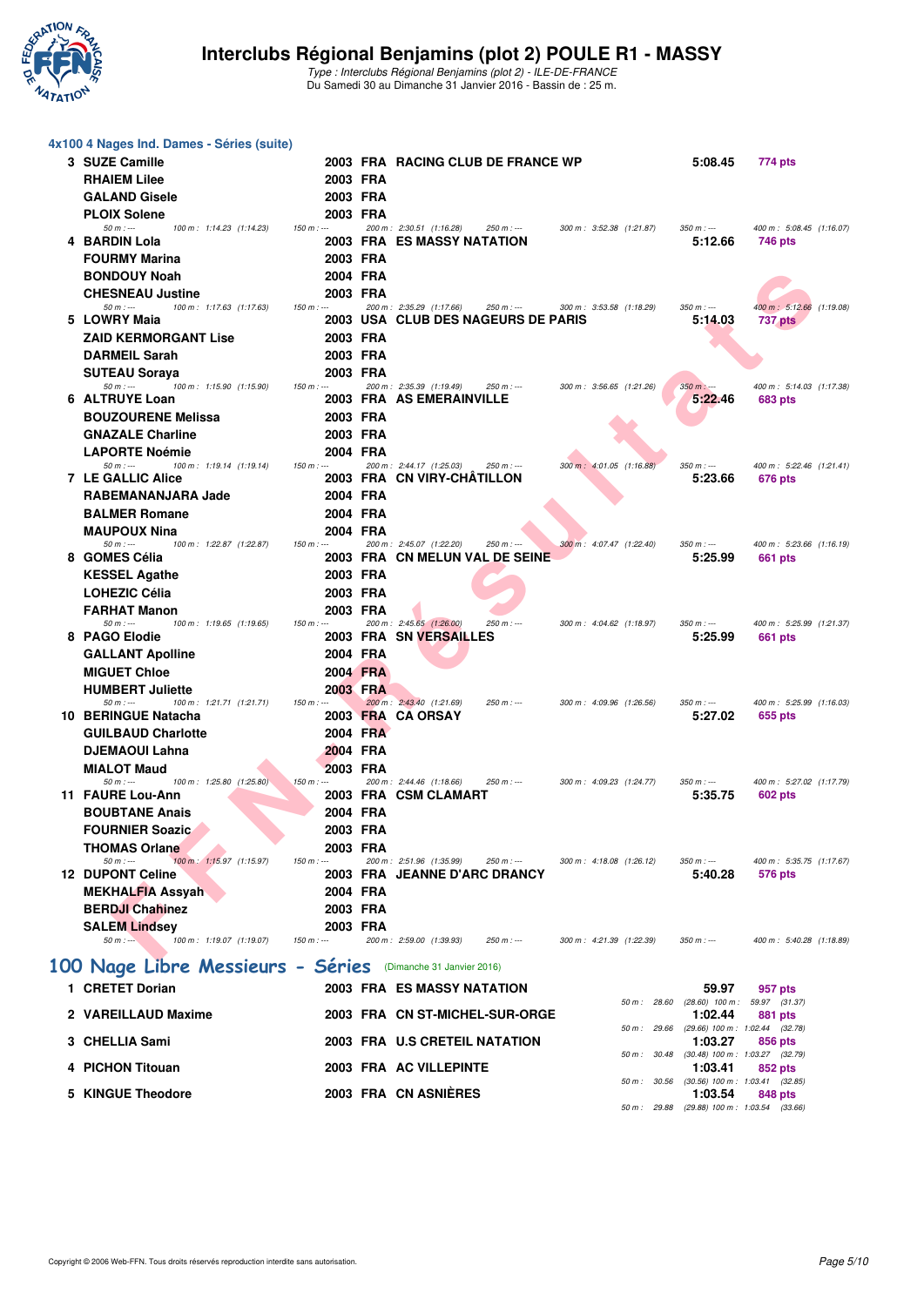

| 4x100 4 Nages Ind. Dames - Séries (suite)                        |             |                      |          |                                                                               |                          |                          |                                                       |                                            |
|------------------------------------------------------------------|-------------|----------------------|----------|-------------------------------------------------------------------------------|--------------------------|--------------------------|-------------------------------------------------------|--------------------------------------------|
| 3 SUZE Camille                                                   |             |                      |          | 2003 FRA RACING CLUB DE FRANCE WP                                             |                          |                          | 5:08.45                                               | 774 pts                                    |
| <b>RHAIEM Lilee</b>                                              |             | 2003 FRA             |          |                                                                               |                          |                          |                                                       |                                            |
| <b>GALAND Gisele</b>                                             |             | 2003 FRA             |          |                                                                               |                          |                          |                                                       |                                            |
| <b>PLOIX Solene</b>                                              |             | 2003 FRA             |          |                                                                               |                          |                          |                                                       |                                            |
| $50 m : -$<br>100 m: 1:14.23 (1:14.23)<br>4 BARDIN Lola          | $150 m: -$  |                      |          | 200 m: 2:30.51 (1:16.28)<br>$250 m : -$<br><b>2003 FRA ES MASSY NATATION</b>  |                          | 300 m: 3:52.38 (1:21.87) | $350 m : -$<br>5:12.66                                | 400 m: 5:08.45 (1:16.07)<br>746 pts        |
| <b>FOURMY Marina</b>                                             |             | 2003 FRA             |          |                                                                               |                          |                          |                                                       |                                            |
| <b>BONDOUY Noah</b>                                              |             | 2004 FRA             |          |                                                                               |                          |                          |                                                       |                                            |
| <b>CHESNEAU Justine</b>                                          |             | 2003 FRA             |          |                                                                               |                          |                          |                                                       |                                            |
| $50 m: -$<br>100 m: 1:17.63 (1:17.63)<br>5 LOWRY Maia            | $150 m: -$  |                      |          | 200 m: 2:35.29 (1:17.66)<br>$250 m : -$<br>2003 USA CLUB DES NAGEURS DE PARIS |                          | 300 m: 3:53.58 (1:18.29) | $350 m: -$<br>5:14.03                                 | 400 m: 5:12.66 (1:19.08)<br><b>737 pts</b> |
| <b>ZAID KERMORGANT Lise</b>                                      |             | 2003 FRA             |          |                                                                               |                          |                          |                                                       |                                            |
| <b>DARMEIL Sarah</b>                                             |             | 2003 FRA             |          |                                                                               |                          |                          |                                                       |                                            |
| <b>SUTEAU Soraya</b>                                             |             | 2003 FRA             |          |                                                                               |                          |                          |                                                       |                                            |
| $50 m: -$<br>100 m: 1:15.90 (1:15.90)                            | $150 m: -$  |                      |          | 200 m: 2:35.39 (1:19.49)<br>250 m : ---                                       |                          | 300 m: 3:56.65 (1:21.26) | $350 m: -$                                            | 400 m: 5:14.03 (1:17.38)                   |
| 6 ALTRUYE Loan<br><b>BOUZOURENE Melissa</b>                      |             | 2003 FRA             |          | 2003 FRA AS EMERAINVILLE                                                      |                          |                          | 5:22.46                                               | 683 pts                                    |
| <b>GNAZALE Charline</b>                                          |             | 2003 FRA             |          |                                                                               |                          |                          |                                                       |                                            |
| <b>LAPORTE Noémie</b>                                            |             | 2004 FRA             |          |                                                                               |                          |                          |                                                       |                                            |
| $50 m$ : ---<br>100 m: 1:19.14 (1:19.14)                         | $150 m : -$ |                      |          | 200 m: 2:44.17 (1:25.03)<br>250 m : ---                                       |                          | 300 m: 4:01.05 (1:16.88) | $350 m : -$                                           | 400 m: 5:22.46 (1:21.41)                   |
| <b>7 LE GALLIC Alice</b>                                         |             |                      |          | 2003 FRA CN VIRY-CHATILLON                                                    |                          |                          | 5:23.66                                               | 676 pts                                    |
| RABEMANANJARA Jade<br><b>BALMER Romane</b>                       |             | 2004 FRA<br>2004 FRA |          |                                                                               |                          |                          |                                                       |                                            |
| <b>MAUPOUX Nina</b>                                              |             | 2004 FRA             |          |                                                                               |                          |                          |                                                       |                                            |
| $50 m: -$<br>100 m: 1:22.87 (1:22.87)                            | $150 m: -$  |                      |          | 200 m: 2:45.07 (1:22.20)<br>250 m : ---                                       |                          | 300 m: 4:07.47 (1:22.40) | $350 m: -$                                            | 400 m: 5:23.66 (1:16.19)                   |
| 8 GOMES Célia                                                    |             |                      |          | 2003 FRA CN MELUN VAL DE SEINE                                                |                          |                          | 5:25.99                                               | 661 pts                                    |
| <b>KESSEL Agathe</b><br><b>LOHEZIC Célia</b>                     |             | 2003 FRA<br>2003 FRA |          |                                                                               |                          |                          |                                                       |                                            |
| <b>FARHAT Manon</b>                                              |             | 2003 FRA             |          |                                                                               |                          |                          |                                                       |                                            |
| $50 m: -$<br>100 m: 1:19.65 (1:19.65)                            | $150 m: -$  |                      |          | 200 m: 2:45.65 (1:26.00)<br>$250 m: -$                                        |                          | 300 m: 4:04.62 (1:18.97) | $350 m : -$                                           | 400 m: 5:25.99 (1:21.37)                   |
| 8 PAGO Elodie                                                    |             |                      |          | <b>2003 FRA SN VERSAILLES</b>                                                 |                          |                          | 5:25.99                                               | 661 pts                                    |
| <b>GALLANT Apolline</b>                                          |             | 2004 FRA             |          |                                                                               |                          |                          |                                                       |                                            |
| <b>MIGUET Chloe</b>                                              |             | 2004 FRA             |          |                                                                               |                          |                          |                                                       |                                            |
| <b>HUMBERT Juliette</b><br>$50 m: -$<br>100 m: 1:21.71 (1:21.71) | $150 m: -$  | 2003 FRA             |          | 200 m : 2:43.40 (1:21.69)<br>$250 m : -$                                      | 300 m: 4:09.96 (1:26.56) |                          | $350 m : -$                                           | 400 m: 5:25.99 (1:16.03)                   |
| 10 BERINGUE Natacha                                              |             |                      |          | 2003 FRA CA ORSAY                                                             |                          |                          | 5:27.02                                               | 655 pts                                    |
| <b>GUILBAUD Charlotte</b>                                        |             | 2004 FRA             |          |                                                                               |                          |                          |                                                       |                                            |
| <b>DJEMAOUI Lahna</b>                                            |             | 2004 FRA             |          |                                                                               |                          |                          |                                                       |                                            |
| <b>MIALOT Maud</b><br>$50 m$ : ---<br>100 m: 1:25.80 (1:25.80)   | $150 m: -$  | 2003 FRA             |          | 200 m: 2:44.46 (1:18.66)<br>$250 m: -$                                        |                          | 300 m: 4:09.23 (1:24.77) | $350 m: -$                                            | 400 m: 5:27.02 (1:17.79)                   |
| 11 FAURE Lou-Ann                                                 |             |                      | 2003 FRA | <b>CSM CLAMART</b>                                                            |                          |                          | 5:35.75                                               | 602 pts                                    |
| <b>BOUBTANE Anais</b>                                            |             | 2004 FRA             |          |                                                                               |                          |                          |                                                       |                                            |
| <b>FOURNIER Soazic</b>                                           |             | 2003 FRA             |          |                                                                               |                          |                          |                                                       |                                            |
| <b>THOMAS Orlane</b><br>$50 m: -$<br>100 m: 1:15.97 (1:15.97)    | $150 m: -$  | 2003 FRA             |          | 200 m: 2:51.96 (1:35.99)<br>$250 m : -$                                       |                          | 300 m: 4:18.08 (1:26.12) | $350 m : -$                                           | 400 m: 5:35.75 (1:17.67)                   |
| <b>12 DUPONT Celine</b>                                          |             |                      |          | 2003 FRA JEANNE D'ARC DRANCY                                                  |                          |                          | 5:40.28                                               | 576 pts                                    |
| <b>MEKHALFIA Assyah</b>                                          |             | 2004 FRA             |          |                                                                               |                          |                          |                                                       |                                            |
| <b>BERDJI Chahinez</b>                                           |             | 2003 FRA             |          |                                                                               |                          |                          |                                                       |                                            |
| <b>SALEM Lindsey</b><br>100 m: 1:19.07 (1:19.07)<br>$50 m: -$    | $150 m: -$  | 2003 FRA             |          | 200 m: 2:59.00 (1:39.93)<br>$250 m : -$                                       |                          | 300 m: 4:21.39 (1:22.39) | $350 m : -$                                           | 400 m: 5:40.28 (1:18.89)                   |
|                                                                  |             |                      |          |                                                                               |                          |                          |                                                       |                                            |
| 100 Nage Libre Messieurs - Séries                                |             |                      |          | (Dimanche 31 Janvier 2016)                                                    |                          |                          |                                                       |                                            |
| 1 CRETET Dorian                                                  |             |                      |          | <b>2003 FRA ES MASSY NATATION</b>                                             |                          |                          | 59.97                                                 | 957 pts                                    |
| 2 VAREILLAUD Maxime                                              |             |                      |          | 2003 FRA CN ST-MICHEL-SUR-ORGE                                                |                          | 50 m : 28.60             | $(28.60)$ 100 m : 59.97 $(31.37)$<br>1:02.44          | 881 pts                                    |
|                                                                  |             |                      |          |                                                                               |                          |                          | 50 m: 29.66 (29.66) 100 m: 1:02.44 (32.78)            |                                            |
| 3 CHELLIA Sami                                                   |             |                      |          | 2003 FRA U.S CRETEIL NATATION                                                 |                          |                          | 1:03.27<br>50 m: 30.48 (30.48) 100 m: 1:03.27 (32.79) | 856 pts                                    |
| 4 PICHON Titouan                                                 |             |                      |          | 2003 FRA AC VILLEPINTE                                                        |                          |                          | 1:03.41                                               | 852 pts                                    |
| 5 KINGUE Theodore                                                |             |                      |          | 2003 FRA CN ASNIÈRES                                                          |                          |                          | 50 m: 30.56 (30.56) 100 m: 1:03.41 (32.85)<br>1:03.54 | 848 pts                                    |
|                                                                  |             |                      |          |                                                                               |                          |                          | 50 m: 29.88 (29.88) 100 m: 1:03.54 (33.66)            |                                            |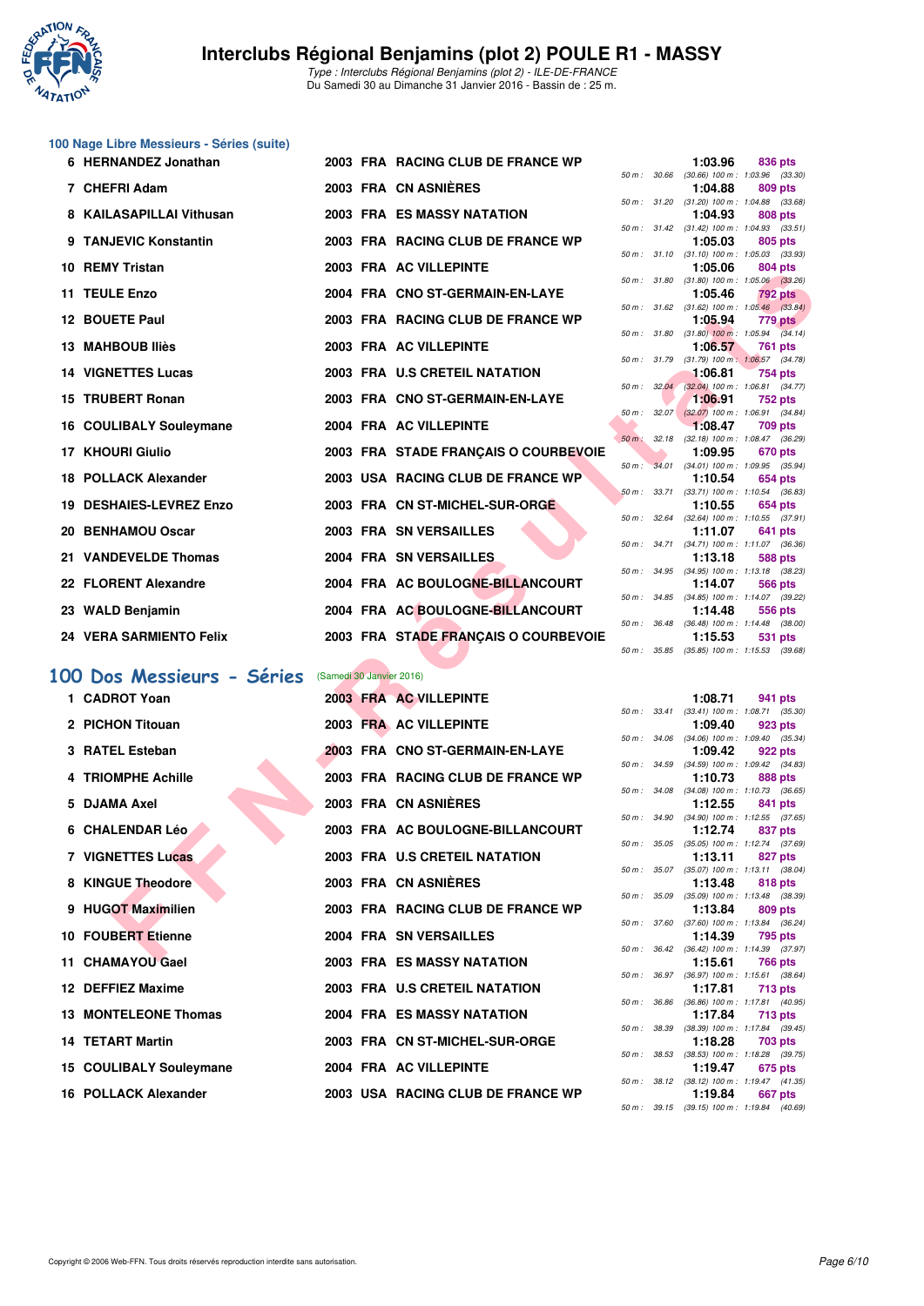

Type : Interclubs Régional Benjamins (plot 2) - ILE-DE-FRANCE Du Samedi 30 au Dimanche 31 Janvier 2016 - Bassin de : 25 m.

# **100 Nage Libre Messieurs - Séries (suite)**

| 6 HERNANDEZ Jonathan              |                          | 2003 FRA RACING CLUB DE FRANCE WP    |             |             | 1:03.96                                                  | 836 pts         |  |
|-----------------------------------|--------------------------|--------------------------------------|-------------|-------------|----------------------------------------------------------|-----------------|--|
| 7 CHEFRI Adam                     |                          | 2003 FRA CN ASNIÈRES                 | 50 m: 30.66 |             | $(30.66)$ 100 m : 1:03.96 $(33.30)$<br>1:04.88           | 809 pts         |  |
| 8 KAILASAPILLAI Vithusan          |                          | <b>2003 FRA ES MASSY NATATION</b>    |             |             | 50 m: 31.20 (31.20) 100 m: 1:04.88 (33.68)<br>1:04.93    | 808 pts         |  |
| 9 TANJEVIC Konstantin             |                          | 2003 FRA RACING CLUB DE FRANCE WP    |             |             | 50 m: 31.42 (31.42) 100 m: 1:04.93 (33.51)<br>1:05.03    |                 |  |
|                                   |                          |                                      |             |             | 50 m: 31.10 (31.10) 100 m: 1:05.03 (33.93)               | 805 pts         |  |
| 10 REMY Tristan                   |                          | 2003 FRA AC VILLEPINTE               | 50 m: 31.80 |             | 1:05.06<br>$(31.80)$ 100 m : 1:05.06 $(33.26)$           | 804 pts         |  |
| 11 TEULE Enzo                     |                          | 2004 FRA CNO ST-GERMAIN-EN-LAYE      |             |             | 1:05.46                                                  | 792 pts         |  |
| 12 BOUETE Paul                    |                          | 2003 FRA RACING CLUB DE FRANCE WP    |             |             | 50 m : 31.62 (31.62) 100 m : 1:05.46 (33.84)<br>1:05.94  | 779 pts         |  |
| 13 MAHBOUB Iliès                  |                          | 2003 FRA AC VILLEPINTE               |             |             | 50 m : 31.80 (31.80) 100 m : 1:05.94 (34.14)<br>1:06.57  | 761 pts         |  |
| <b>14 VIGNETTES Lucas</b>         |                          | 2003 FRA U.S CRETEIL NATATION        |             |             | 50 m: 31.79 (31.79) 100 m: 1:06.57 (34.78)<br>1:06.81    | 754 pts         |  |
|                                   |                          |                                      |             | 50 m: 32.04 | $(32.04)$ 100 m : 1:06.81 $(34.77)$                      |                 |  |
| 15 TRUBERT Ronan                  |                          | 2003 FRA CNO ST-GERMAIN-EN-LAYE      |             | 50 m: 32.07 | 1:06.91<br>$(32.07)$ 100 m : 1:06.91 $(34.84)$           | <b>752 pts</b>  |  |
| 16 COULIBALY Souleymane           |                          | 2004 FRA AC VILLEPINTE               |             |             | 1:08.47                                                  | 709 pts         |  |
| 17 KHOURI Giulio                  |                          | 2003 FRA STADE FRANÇAIS O COURBEVOIE |             |             | 50 m: 32.18 (32.18) 100 m: 1:08.47 (36.29)<br>1:09.95    | 670 pts         |  |
|                                   |                          |                                      |             | 50 m: 34.01 | $(34.01)$ 100 m : 1:09.95 $(35.94)$                      |                 |  |
| 18 POLLACK Alexander              |                          | 2003 USA RACING CLUB DE FRANCE WP    |             |             | 1:10.54<br>50 m: 33.71 (33.71) 100 m: 1:10.54 (36.83)    | 654 pts         |  |
| 19 DESHAIES-LEVREZ Enzo           |                          | 2003 FRA CN ST-MICHEL-SUR-ORGE       |             |             | 1:10.55                                                  | 654 pts         |  |
| 20 BENHAMOU Oscar                 |                          | 2003 FRA SN VERSAILLES               | 50 m: 32.64 |             | $(32.64)$ 100 m : 1:10.55 $(37.91)$<br>1:11.07           | 641 pts         |  |
|                                   |                          |                                      |             |             | 50 m: 34.71 (34.71) 100 m: 1:11.07 (36.36)               |                 |  |
| 21 VANDEVELDE Thomas              |                          | 2004 FRA SN VERSAILLES               |             |             | 1:13.18<br>50 m: 34.95 (34.95) 100 m: 1:13.18 (38.23)    | <b>588 pts</b>  |  |
| 22 FLORENT Alexandre              |                          | 2004 FRA AC BOULOGNE-BILLANCOURT     |             |             | 1:14.07                                                  | 566 pts         |  |
| 23 WALD Benjamin                  |                          | 2004 FRA AC BOULOGNE-BILLANCOURT     |             |             | 50 m: 34.85 (34.85) 100 m: 1:14.07 (39.22)<br>1:14.48    | 556 pts         |  |
|                                   |                          |                                      | 50 m: 36.48 |             | $(36.48)$ 100 m : 1:14.48 $(38.00)$                      |                 |  |
| <b>24 VERA SARMIENTO Felix</b>    |                          | 2003 FRA STADE FRANÇAIS O COURBEVOIE |             |             | 1:15.53<br>50 m: 35.85 (35.85) 100 m: 1:15.53 (39.68)    | 531 pts         |  |
| 00 Dos Messieurs - Séries         | (Samedi 30 Janvier 2016) |                                      |             |             |                                                          |                 |  |
|                                   |                          |                                      |             |             |                                                          |                 |  |
| 1 CADROT Yoan                     |                          | 2003 FRA AC VILLEPINTE               |             |             | 1:08.71<br>50 m: 33.41 (33.41) 100 m: 1:08.71 (35.30)    | 941 pts         |  |
| 2 PICHON Titouan                  |                          | 2003 FRA AC VILLEPINTE               |             |             | 1:09.40                                                  | 923 pts         |  |
| 3 RATEL Esteban                   |                          | 2003 FRA CNO ST-GERMAIN-EN-LAYE      |             |             | 50 m: 34.06 (34.06) 100 m: 1:09.40 (35.34)<br>1:09.42    | 922 pts         |  |
| <b>4 TRIOMPHE Achille</b>         |                          | 2003 FRA RACING CLUB DE FRANCE WP    |             |             | 50 m: 34.59 (34.59) 100 m: 1:09.42 (34.83)<br>1:10.73    | 888 pts         |  |
|                                   |                          |                                      |             |             | 50 m: 34.08 (34.08) 100 m: 1:10.73 (36.65)               |                 |  |
| 5 DJAMA Axel                      |                          | 2003 FRA CN ASNIERES                 |             |             | 1:12.55                                                  | 841 pts         |  |
| 6 CHALENDAR Léo                   |                          | 2003 FRA AC BOULOGNE-BILLANCOURT     |             |             | 50 m: 34.90 (34.90) 100 m: 1:12.55 (37.65)<br>1:12.74    | 837 pts         |  |
| <b>7 VIGNETTES Lucas</b>          |                          | 2003 FRA U.S CRETEIL NATATION        | 50 m: 35.05 |             | $(35.05)$ 100 m : 1:12.74 $(37.69)$<br>1:13.11           | 827 pts         |  |
|                                   |                          |                                      |             |             | 50 m: 35.07 (35.07) 100 m: 1:13.11 (38.04)               |                 |  |
| 8 KINGUE Theodore                 |                          | 2003 FRA CN ASNIERES                 | 50 m: 35.09 |             | 1:13.48<br>$(35.09)$ 100 m : 1:13.48 $(38.39)$           | 818 pts         |  |
| 9 HUGOT Maximilien                |                          | 2003 FRA RACING CLUB DE FRANCE WP    |             |             | 1:13.84                                                  | 809 pts         |  |
| 10 FOUBERT Etienne                |                          | 2004 FRA SN VERSAILLES               |             |             | 50 m: 37.60 (37.60) 100 m: 1:13.84 (36.24)<br>1:14.39    | 795 pts         |  |
| <b><i>AL OUARRAVOU OFFICE</i></b> |                          | <b>0000 FBA FOMACOV NATATION</b>     |             |             | 50 m: 36.42 (36.42) 100 m: 1:14.39 (37.97)<br>$-1.45.04$ |                 |  |
|                                   |                          |                                      |             |             |                                                          | $\pi$ of $\sim$ |  |

# **[100 Dos Messieurs - Séries](http://www.ffnatation.fr/webffn/resultats.php?idact=nat&go=epr&idcpt=36753&idepr=62)** (Samedi 30 Janvier 2016)

| 1 CADROT Yoan           |  | 2003 FRA AC VILLEPINTE            |  | 1:08.71                                            |         | 941 pts |
|-------------------------|--|-----------------------------------|--|----------------------------------------------------|---------|---------|
| 2 PICHON Titouan        |  | 2003 FRA AC VILLEPINTE            |  | 50 m: 33.41 (33.41) 100 m: 1:08.71 (35.<br>1:09.40 | 923 pts |         |
|                         |  |                                   |  | 50 m : 34.06 (34.06) 100 m : 1:09.40 (35.          |         |         |
| 3 RATEL Esteban         |  | 2003 FRA CNO ST-GERMAIN-EN-LAYE   |  | 1:09.42                                            | 922 pts |         |
|                         |  |                                   |  | 50 m: 34.59 (34.59) 100 m: 1:09.42 (34.            |         |         |
| 4 TRIOMPHE Achille      |  | 2003 FRA RACING CLUB DE FRANCE WP |  | 1:10.73                                            | 888 pts |         |
|                         |  |                                   |  | 50 m: 34.08 (34.08) 100 m: 1:10.73 (36.            |         |         |
| 5 DJAMA Axel            |  | 2003 FRA CN ASNIÈRES              |  | 1:12.55                                            | 841 pts |         |
|                         |  |                                   |  | 50 m: 34.90 (34.90) 100 m: 1:12.55 (37.            |         |         |
| 6 CHALENDAR Léo         |  | 2003 FRA AC BOULOGNE-BILLANCOURT  |  | 1:12.74<br>50 m: 35.05 (35.05) 100 m: 1:12.74 (37. | 837 pts |         |
| 7 VIGNETTES Lucas       |  | 2003 FRA U.S CRETEIL NATATION     |  | 1:13.11                                            | 827 pts |         |
|                         |  |                                   |  | 50 m: 35.07 (35.07) 100 m: 1:13.11 (38.            |         |         |
| 8 KINGUE Theodore       |  | 2003 FRA CN ASNIÈRES              |  | 1:13.48                                            | 818 pts |         |
|                         |  |                                   |  | 50 m: 35.09 (35.09) 100 m: 1:13.48 (38.            |         |         |
| 9 HUGOT Maximilien      |  | 2003 FRA RACING CLUB DE FRANCE WP |  | 1:13.84                                            | 809 pts |         |
|                         |  |                                   |  | 50 m: 37.60 (37.60) 100 m: 1:13.84 (36.            |         |         |
| 10 FOUBERT Etienne      |  | 2004 FRA SN VERSAILLES            |  | 1:14.39 795 pts                                    |         |         |
|                         |  |                                   |  | 50 m: 36.42 (36.42) 100 m: 1:14.39 (37.            |         |         |
| 11 CHAMAYOU Gael        |  | 2003 FRA ES MASSY NATATION        |  | 1:15.61                                            | 766 pts |         |
|                         |  |                                   |  | 50 m: 36.97 (36.97) 100 m: 1:15.61 (38.            |         |         |
| 12 DEFFIEZ Maxime       |  | 2003 FRA U.S CRETEIL NATATION     |  | 1:17.81                                            | 713 pts |         |
| 13 MONTELEONE Thomas    |  | 2004 FRA ES MASSY NATATION        |  | 50 m: 36.86 (36.86) 100 m: 1:17.81 (40.<br>1:17.84 | 713 pts |         |
|                         |  |                                   |  | 50 m: 38.39 (38.39) 100 m: 1:17.84 (39.            |         |         |
| <b>14 TETART Martin</b> |  | 2003 FRA CN ST-MICHEL-SUR-ORGE    |  | 1:18.28                                            | 703 pts |         |
|                         |  |                                   |  | 50 m: 38.53 (38.53) 100 m: 1:18.28 (39.            |         |         |
| 15 COULIBALY Souleymane |  | 2004 FRA AC VILLEPINTE            |  | 1:19.47                                            | 675 pts |         |
|                         |  |                                   |  | 50 m: 38.12 (38.12) 100 m: 1:19.47 (41.            |         |         |
| 16 POLLACK Alexander    |  | 2003 USA RACING CLUB DE FRANCE WP |  | 1:19.84                                            |         | 667 pts |
|                         |  |                                   |  |                                                    |         |         |

|          |       | 1:03.96           | 836 pts            |
|----------|-------|-------------------|--------------------|
| $50 m$ : | 30.66 | $(30.66)$ 100 m : | 1:03.96<br>(33.30) |
|          |       | 1:04.88           | 809 pts            |
| $50 m$ : | 31.20 | $(31.20)$ 100 m : | 1:04.88<br>(33.68) |
|          |       | 1:04.93           | <b>808 pts</b>     |
| $50 m$ : | 31.42 | $(31.42) 100 m$ : | 1:04.93<br>(33.51) |
|          |       | 1:05.03           | 805 pts            |
| $50 m$ : | 31.10 | $(31.10)$ 100 m : | 1:05.03<br>(33.93) |
|          |       | 1:05.06           | 804 pts            |
| $50 m$ : | 31.80 | $(31.80) 100 m$ : | 1:05.06<br>(33.26) |
|          |       | 1:05.46           | 792 pts            |
| $50 m$ : | 31.62 | $(31.62)$ 100 m : | (33.84)<br>1:05.46 |
|          |       | 1:05.94           | 779 pts            |
| $50 m$ : | 31.80 | $(31.80)$ 100 m : | (34.14)<br>1:05.94 |
|          |       | 1:06.57           | 761<br>pts         |
| $50 m$ : | 31.79 | $(31.79) 100 m$ : | 1:06.57<br>(34.78) |
|          |       | 1:06.81           | $754$ pts          |
| $50 m$ : | 32.04 | $(32.04)$ 100 m : | 1:06.81<br>(34.77) |
|          |       | 1:06.91           | <b>752 pts</b>     |
| $50 m$ : | 32.07 | $(32.07)$ 100 m : | 1:06.91<br>(34.84) |
|          |       | 1:08.47           | 709 pts            |
| $50 m$ : | 32.18 | $(32.18) 100 m$ : | (36.29)<br>1:08.47 |
|          |       | 1:09.95           | 670 pts            |
| $50 m$ : | 34.01 | $(34.01)$ 100 m : | 1:09.95<br>(35.94) |
|          |       | 1:10.54           | 654 pts            |
| $50 m$ : | 33.71 | $(33.71)$ 100 m : | 1:10.54<br>(36.83) |
|          |       | 1:10.55           | 654 pts            |
| $50 m$ : | 32.64 | $(32.64)$ 100 m : | 1:10.55<br>(37.91) |
|          |       | 1:11.07           | 641<br>pts         |
| $50 m$ : | 34.71 | $(34.71)$ 100 m : | 1:11.07<br>(36.36) |
|          |       | 1:13.18           | 588<br>pts         |
| $50 m$ : | 34.95 | $(34.95)$ 100 m : | 1:13.18<br>(38.23) |
|          |       | 1:14.07           | 566<br>pts         |
| $50 m$ : | 34.85 | $(34.85) 100 m$ : | 1:14.07<br>(39.22) |
|          |       | 1:14.48           | 556<br>pts         |
| $50 m$ : | 36.48 | $(36.48) 100 m$ : | 1:14.48<br>(38.00) |
|          |       | 1:15.53           | 531<br>pts         |
| 50 m:    | 35.85 | $(35.85)$ 100 m : | 1:15.53<br>(39.68) |
|          |       |                   |                    |

|                  |       | 1:08.71           | 941 pts             |  |
|------------------|-------|-------------------|---------------------|--|
| $50 m$ : $33.41$ |       | $(33.41)$ 100 m : | 1:08.71 (35.30)     |  |
|                  |       | 1:09.40           | 923 pts             |  |
| 50 m :           | 34.06 | $(34.06)$ 100 m : | 1:09.40 (35.34)     |  |
|                  |       | 1:09.42           | 922 pts             |  |
| $50 m$ :         | 34.59 | $(34.59) 100 m$ : | 1:09.42 (34.83)     |  |
|                  |       | 1:10.73           | 888 pts             |  |
| $50 m$ :         | 34.08 | $(34.08) 100 m$ : | 1:10.73 (36.65)     |  |
|                  |       | 1:12.55           | 841 pts             |  |
| $50 m$ :         | 34.90 | $(34.90)$ 100 m : | $1:12.55$ $(37.65)$ |  |
|                  |       | 1:12.74           | 837 pts             |  |
| $50 m$ :         | 35.05 | $(35.05)$ 100 m : | 1:12.74 (37.69)     |  |
|                  |       | 1:13.11           | 827 pts             |  |
| $50 m$ :         | 35.07 | $(35.07) 100 m$ : | $1:13.11$ (38.04)   |  |
|                  |       | 1:13.48           | 818 pts             |  |
| $50 m$ :         | 35.09 | $(35.09)$ 100 m : | 1:13.48 (38.39)     |  |
|                  |       | 1:13.84           | 809 pts             |  |
| 50 m :           | 37.60 | $(37.60)$ 100 m : | 1:13.84 (36.24)     |  |
|                  |       | 1:14.39           | 795 pts             |  |
| $50 m$ :         | 36.42 | $(36.42)$ 100 m : | 1:14.39 (37.97)     |  |
|                  |       | 1:15.61           | 766 pts             |  |
| $50 m$ :         | 36.97 | $(36.97) 100 m$ : | $1:15.61$ (38.64)   |  |
|                  |       | 1:17.81           | 713 pts             |  |
| $50 m$ :         | 36.86 | $(36.86) 100 m$ : | 1:17.81 (40.95)     |  |
|                  |       | 1:17.84           | 713 pts             |  |
| $50 m$ :         | 38.39 | $(38.39) 100 m$ : | $1:17.84$ (39.45)   |  |
|                  |       | 1:18.28           | 703 pts             |  |
| $50 m$ :         | 38.53 | $(38.53) 100 m$ : | $1:18.28$ (39.75)   |  |
|                  |       | 1:19.47           | 675 pts             |  |
| $50 m$ : $38.12$ |       | $(38.12)$ 100 m : | $1:19.47$ $(41.35)$ |  |
|                  |       | 1:19.84           | 667 pts             |  |
| 50 m: 39.15      |       | $(39.15)$ 100 m : | 1:19.84 (40.69)     |  |
|                  |       |                   |                     |  |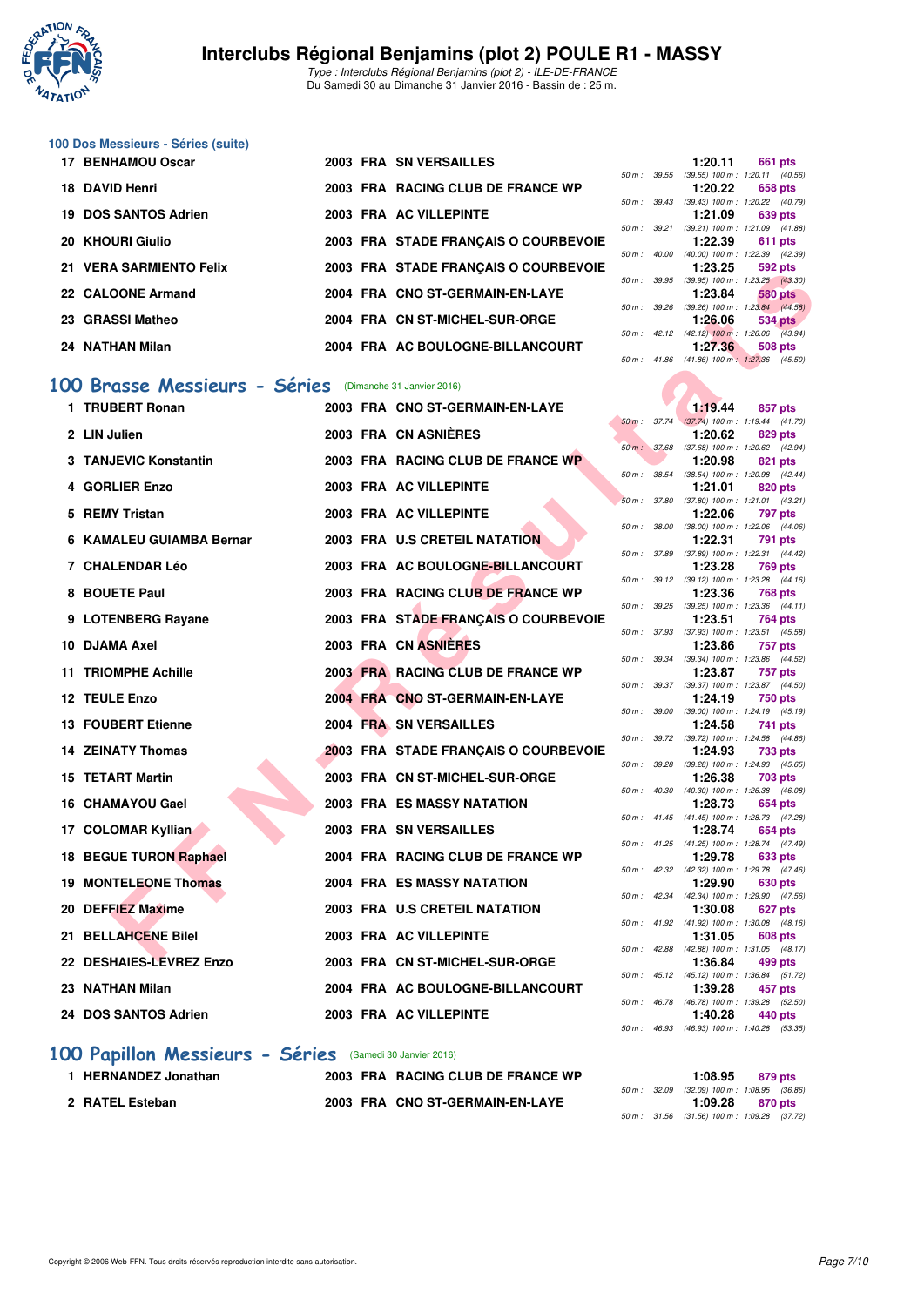

Type : Interclubs Régional Benjamins (plot 2) - ILE-DE-FRANCE Du Samedi 30 au Dimanche 31 Janvier 2016 - Bassin de : 25 m.

# **100 Dos Messieurs - Séries (suite)**

| 17 BENHAMOU Oscar       |  | 2003 FRA SN VERSAILLES               |                        |                  | 1:20.11                        | 661 pts        |  |
|-------------------------|--|--------------------------------------|------------------------|------------------|--------------------------------|----------------|--|
|                         |  |                                      |                        | 50 m : 39.55     | $(39.55)$ 100 m : 1:20.11 (40. |                |  |
| 18 DAVID Henri          |  | 2003 FRA RACING CLUB DE FRANCE WP    |                        |                  | 1:20.22                        | 658 pts        |  |
|                         |  |                                      |                        | $50 m$ : $39.43$ | $(39.43)$ 100 m : 1:20.22 (40. |                |  |
| 19 DOS SANTOS Adrien    |  | 2003 FRA AC VILLEPINTE               |                        |                  | 1:21.09                        | 639 pts        |  |
|                         |  |                                      |                        | 50 m: 39.21      | $(39.21)$ 100 m : 1:21.09 (41. |                |  |
| 20 KHOURI Giulio        |  | 2003 FRA STADE FRANCAIS O COURBEVOIE |                        |                  | 1:22.39                        | <b>611 pts</b> |  |
|                         |  |                                      | 50 m :                 | 40.00            | $(40.00)$ 100 m : 1:22.39 (42. |                |  |
| 21 VERA SARMIENTO Felix |  | 2003 FRA STADE FRANCAIS O COURBEVOIE |                        |                  | 1:23.25                        | 592 pts        |  |
|                         |  |                                      |                        | $50 m$ : 39.95   | $(39.95)$ 100 m : 1:23.25 (43. |                |  |
| 22 CALOONE Armand       |  | 2004 FRA CNO ST-GERMAIN-EN-LAYE      |                        |                  | 1:23.84                        | 580 pts        |  |
|                         |  |                                      | $50 \text{ m}$ : 39.26 |                  | $(39.26)$ 100 m : 1:23.84 (44. |                |  |
| 23 GRASSI Matheo        |  | 2004 FRA CN ST-MICHEL-SUR-ORGE       |                        |                  | 1:26.06                        | 534 pts        |  |
|                         |  |                                      |                        | 50 m: 42.12      | $(42.12)$ 100 m : 1:26.06 (43. |                |  |
| 24 NATHAN Milan         |  | 2004 FRA AC BOULOGNE-BILLANCOURT     |                        |                  | 1:27.36                        | 508 pts        |  |

#### **[100 Brasse Messieurs - Séries](http://www.ffnatation.fr/webffn/resultats.php?idact=nat&go=epr&idcpt=36753&idepr=72)** (Dimanche 31 Janvier 2016)

| <b>VERA JARMIEN I U FUIA</b>                            |  | 2003 FRA STADE FRANÇAIS O COURBEVOIE |              |              | 1.20.20                                                  | งฮ่อ มเจ       |  |
|---------------------------------------------------------|--|--------------------------------------|--------------|--------------|----------------------------------------------------------|----------------|--|
| 22 CALOONE Armand                                       |  | 2004 FRA CNO ST-GERMAIN-EN-LAYE      |              |              | 50 m : 39.95 (39.95) 100 m : 1:23.25 (43.30)<br>1:23.84  | 580 pts        |  |
| 23 GRASSI Matheo                                        |  | 2004 FRA CN ST-MICHEL-SUR-ORGE       |              |              | 50 m: 39.26 (39.26) 100 m: 1:23.84 (44.58)<br>1:26.06    | 534 pts        |  |
|                                                         |  |                                      |              |              | 50 m : 42.12 (42.12) 100 m : 1:26.06 (43.94)             |                |  |
| 24 NATHAN Milan                                         |  | 2004 FRA AC BOULOGNE-BILLANCOURT     |              |              | 1:27.36                                                  | 508 pts        |  |
|                                                         |  |                                      |              |              | 50 m: 41.86 (41.86) 100 m: 1:27.36 (45.50)               |                |  |
| 00 Brasse Messieurs - Séries (Dimanche 31 Janvier 2016) |  |                                      |              |              |                                                          |                |  |
| 1 TRUBERT Ronan                                         |  | 2003 FRA CNO ST-GERMAIN-EN-LAYE      |              |              | 1:19.44                                                  | 857 pts        |  |
| 2 LIN Julien                                            |  | 2003 FRA CN ASNIERES                 |              |              | 50 m: 37.74 (37.74) 100 m: 1:19.44 (41.70)<br>1:20.62    | 829 pts        |  |
|                                                         |  |                                      |              |              | 50 m : 37.68 (37.68) 100 m : 1:20.62 (42.94)             |                |  |
| <b>3 TANJEVIC Konstantin</b>                            |  | 2003 FRA RACING CLUB DE FRANCE WP    |              |              | 1:20.98                                                  | 821 pts        |  |
| 4 GORLIER Enzo                                          |  | 2003 FRA AC VILLEPINTE               | 50 m : 38.54 |              | $(38.54)$ 100 m : 1:20.98 $(42.44)$<br>1:21.01           | 820 pts        |  |
|                                                         |  |                                      |              | 50 m : 37.80 | $(37.80)$ 100 m : 1:21.01 $(43.21)$                      |                |  |
| 5 REMY Tristan                                          |  | 2003 FRA AC VILLEPINTE               |              |              | 1:22.06<br>50 m: 38.00 (38.00) 100 m: 1:22.06 (44.06)    | 797 pts        |  |
| 6 KAMALEU GUIAMBA Bernar                                |  | 2003 FRA U.S CRETEIL NATATION        |              |              | 1:22.31                                                  | 791 pts        |  |
|                                                         |  |                                      | 50 m : 37.89 |              | (37.89) 100 m: 1:22.31 (44.42)                           |                |  |
| 7 CHALENDAR Léo                                         |  | 2003 FRA AC BOULOGNE-BILLANCOURT     |              |              | 1:23.28<br>50 m: 39.12 (39.12) 100 m: 1:23.28 (44.16)    | 769 pts        |  |
| 8 BOUETE Paul                                           |  | 2003 FRA RACING CLUB DE FRANCE WP    |              |              | 1:23.36                                                  | <b>768 pts</b> |  |
| 9 LOTENBERG Rayane                                      |  | 2003 FRA STADE FRANÇAIS O COURBEVOIE |              |              | 50 m: 39.25 (39.25) 100 m: 1:23.36 (44.11)<br>1:23.51    | 764 pts        |  |
|                                                         |  |                                      |              |              | 50 m: 37.93 (37.93) 100 m: 1:23.51 (45.58)               |                |  |
| 10 DJAMA Axel                                           |  | 2003 FRA CN ASNIERES                 |              |              | 1:23.86                                                  | <b>757 pts</b> |  |
| <b>11 TRIOMPHE Achille</b>                              |  | 2003 FRA RACING CLUB DE FRANCE WP    |              |              | 50 m : 39.34 (39.34) 100 m : 1:23.86 (44.52)<br>1:23.87  | 757 pts        |  |
|                                                         |  |                                      |              |              | 50 m: 39.37 (39.37) 100 m: 1:23.87 (44.50)               |                |  |
| 12 TEULE Enzo                                           |  | 2004 FRA CNO ST-GERMAIN-EN-LAYE      |              |              | 1:24.19<br>50 m: 39.00 (39.00) 100 m: 1:24.19 (45.19)    | <b>750 pts</b> |  |
| <b>13 FOUBERT Etienne</b>                               |  | 2004 FRA SN VERSAILLES               |              |              | 1:24.58                                                  | 741 pts        |  |
|                                                         |  |                                      | 50 m: 39.72  |              | $(39.72)$ 100 m : 1:24.58 $(44.86)$                      |                |  |
| <b>14 ZEINATY Thomas</b>                                |  | 2003 FRA STADE FRANÇAIS O COURBEVOIE |              |              | 1:24.93<br>50 m: 39.28 (39.28) 100 m: 1:24.93 (45.65)    | 733 pts        |  |
| <b>15 TETART Martin</b>                                 |  | 2003 FRA CN ST-MICHEL-SUR-ORGE       |              |              | 1:26.38                                                  | 703 pts        |  |
| 16 CHAMAYOU Gael                                        |  | <b>2003 FRA ES MASSY NATATION</b>    |              |              | 50 m : 40.30 (40.30) 100 m : 1:26.38 (46.08)<br>1:28.73  | 654 pts        |  |
|                                                         |  |                                      |              |              | 50 m: 41.45 (41.45) 100 m: 1:28.73 (47.28)               |                |  |
| 17 COLOMAR Kyllian                                      |  | 2003 FRA SN VERSAILLES               |              |              | 1:28.74                                                  | 654 pts        |  |
| 18 BEGUE TURON Raphael                                  |  | 2004 FRA RACING CLUB DE FRANCE WP    |              |              | 50 m: 41.25 (41.25) 100 m: 1:28.74 (47.49)<br>1:29.78    | 633 pts        |  |
|                                                         |  |                                      |              |              | 50 m: 42.32 (42.32) 100 m: 1:29.78 (47.46)               |                |  |
| <b>19 MONTELEONE Thomas</b>                             |  | <b>2004 FRA ES MASSY NATATION</b>    |              |              | 1:29.90<br>50 m: 42.34 (42.34) 100 m: 1:29.90 (47.56)    | 630 pts        |  |
| 20 DEFFIEZ Maxime                                       |  | 2003 FRA U.S CRETEIL NATATION        |              |              | 1:30.08                                                  | 627 pts        |  |
|                                                         |  |                                      |              |              | 50 m: 41.92 (41.92) 100 m: 1:30.08 (48.16)               |                |  |
| 21 BELLAHCENE Bilel                                     |  | 2003 FRA AC VILLEPINTE               |              |              | 1:31.05<br>50 m: 42.88 (42.88) 100 m: 1:31.05 (48.17)    | 608 pts        |  |
| 22 DESHAIES-LEVREZ Enzo                                 |  | 2003 FRA CN ST-MICHEL-SUR-ORGE       |              |              | 1:36.84                                                  | 499 pts        |  |
| 23 NATHAN Milan                                         |  | 2004 FRA AC BOULOGNE-BILLANCOURT     |              |              | 50 m: 45.12 (45.12) 100 m: 1:36.84 (51.72)<br>1:39.28    | 457 pts        |  |
|                                                         |  |                                      |              |              | 50 m: 46.78 (46.78) 100 m: 1:39.28 (52.50)               |                |  |
| 24 DOS SANTOS Adrien                                    |  | 2003 FRA AC VILLEPINTE               |              |              | 1:40.28<br>$50 m - 4693$ $(4693) 100 m - 14098$ $(5335)$ | 440 pts        |  |
|                                                         |  |                                      |              |              |                                                          |                |  |

### **[100 Papillon Messieurs - Séries](http://www.ffnatation.fr/webffn/resultats.php?idact=nat&go=epr&idcpt=36753&idepr=82)** (Samedi 30 Janvier 2016)

| <b>HERNANDEZ Jonathan</b> | 2003 FRA RACING CLUB DE FRANCE WP |  | 1:08.95                                                                                                                                                                                                                                                                                                                                                                              | 879 pts |
|---------------------------|-----------------------------------|--|--------------------------------------------------------------------------------------------------------------------------------------------------------------------------------------------------------------------------------------------------------------------------------------------------------------------------------------------------------------------------------------|---------|
|                           |                                   |  | 50 m : 32.09 (32.09) 100 m : 1:08.95 (36.                                                                                                                                                                                                                                                                                                                                            |         |
| 2 RATEL Esteban           | 2003 FRA CNO ST-GERMAIN-EN-LAYE   |  | 1:09.28                                                                                                                                                                                                                                                                                                                                                                              | 870 pts |
|                           |                                   |  | $\overline{a}$ $\overline{a}$ $\overline{a}$ $\overline{a}$ $\overline{a}$ $\overline{a}$ $\overline{a}$ $\overline{a}$ $\overline{a}$ $\overline{a}$ $\overline{a}$ $\overline{a}$ $\overline{a}$ $\overline{a}$ $\overline{a}$ $\overline{a}$ $\overline{a}$ $\overline{a}$ $\overline{a}$ $\overline{a}$ $\overline{a}$ $\overline{a}$ $\overline{a}$ $\overline{a}$ $\overline{$ |         |

|                  |              | 1:20.11                    | 661 pts                                      |
|------------------|--------------|----------------------------|----------------------------------------------|
|                  | 50 m : 39.55 | $(39.55)$ 100 m :          | $1:20.11$ $(40.56)$                          |
|                  |              |                            | $1:20.22$ 658 pts                            |
| 50 m: 39.43      |              | $(39.43) 100 m$ :          | 1:20.22 (40.79)                              |
|                  |              |                            | $1:21,09$ 639 pts                            |
|                  | 50 m : 39.21 | $(39.21)$ 100 m :          | 1:21.09 (41.88)                              |
|                  |              |                            | $1:22.39$ 611 pts                            |
| $50 m$ : $40.00$ |              | $(40.00)$ 100 m :          | 1:22.39 (42.39)                              |
|                  |              |                            |                                              |
|                  |              |                            | $1:23.25$ 592 pts                            |
|                  |              | 50 m: 39.95 (39.95) 100 m: | $1:23.25$ $(43.30)$                          |
|                  |              |                            | $1:23.84$ 580 pts                            |
| 50 m: 39.26      |              | $(39.26)$ 100 m :          | $1:23.84$ $(44.58)$                          |
|                  |              |                            | $1:26.06$ 534 pts                            |
|                  |              |                            | 50 m : 42.12 (42.12) 100 m : 1:26.06 (43.94) |
|                  |              |                            | 1:27.36 508 pts                              |

|          |       | 1:19.44                    | 857 pts            |         |
|----------|-------|----------------------------|--------------------|---------|
| $50 m$ : | 37.74 | $(37.74) 100 m$ :          | 1:19.44            | (41.70) |
|          |       | 1:20.62                    | 829                | pts     |
| $50 m$ : | 37.68 | $(37.68) 100 m$ :          | 1:20.62            | (42.94) |
|          |       | 1:20.98                    | 821                | pts     |
| 50 m :   | 38.54 | $(38.54) 100 m$ :          | 1:20.98            | (42.44) |
|          |       | 1:21.01                    | 820 pts            |         |
| $50 m$ : | 37.80 | $(37.80)$ 100 m :          | 1:21.01            | (43.21) |
|          |       | 1:22.06                    | 797                | pts     |
| $50 m$ : | 38.00 | (38.00) 100 m :            | 1:22.06            | (44.06) |
|          |       | 1:22.31                    | 791                | pts     |
| $50 m$ : | 37.89 | $(37.89) 100 m$ :          | 1:22.31            | (44.42) |
|          |       | 1:23.28                    | <b>769 pts</b>     |         |
| $50 m$ : | 39.12 | $(39.12) 100 m$ :          | 1:23.28            | (44.16) |
|          |       | 1:23.36                    | 768 pts            |         |
| $50 m$ : | 39.25 | $(39.25)$ 100 m :          | 1:23.36            | (44.11) |
|          |       | 1:23.51                    | <b>764 pts</b>     |         |
| $50 m$ : | 37.93 | (37.93) 100 m :            | 1:23.51            | (45.58) |
|          |       | 1:23.86                    | 757 pts            |         |
| $50 m$ : | 39.34 | (39.34) 100 m :            | 1:23.86            | (44.52) |
|          |       | 1:23.87                    | 757                | pts     |
| $50 m$ : | 39.37 | (39.37) 100 m :            | 1:23.87            | (44.50) |
|          |       | 1:24.19                    | 750 pts            |         |
| $50 m$ : | 39.00 | (39.00) 100 m :            | 1:24.19            | (45.19) |
|          |       | 1:24.58                    | 741                | pts     |
| $50 m$ : | 39.72 | $(39.72)$ 100 m :          | 1:24.58            | (44.86) |
|          |       | 1:24.93                    | 733 pts            |         |
| $50 m$ : | 39.28 | (39.28) 100 m :<br>1:26.38 | 1:24.93            | (45.65) |
| $50 m$ : | 40.30 | $(40.30)$ 100 m :          | 703 pts<br>1:26.38 | (46.08) |
|          |       | 1:28.73                    | 654 pts            |         |
| $50 m$ : | 41.45 | $(41.45) 100 m$ :          | 1:28.73            | (47.28) |
|          |       | 1:28.74                    | 654 pts            |         |
| $50 m$ : | 41.25 | $(41.25)$ 100 m :          | 1:28.74            | (47.49) |
|          |       | 1:29.78                    | 633 pts            |         |
| $50 m$ : | 42.32 | (42.32) 100 m :            | 1:29.78            | (47.46) |
|          |       | 1:29.90                    | 630                | pts     |
| $50 m$ : | 42.34 | (42.34) 100 m :            | 1:29.90            | (47.56) |
|          |       | 1:30.08                    | 627                | pts     |
| $50 m$ : | 41.92 | $(41.92) 100 m$ :          | 1:30.08            | (48.16) |
|          |       | 1:31.05                    | 608 pts            |         |
| $50 m$ : | 42.88 | $(42.88) 100 m$ :          | 1:31.05            | (48.17) |
|          |       | 1:36.84                    | 499 pts            |         |
| $50 m$ : | 45.12 | $(45.12) 100 m$ :          | 1:36.84            | (51.72) |
|          |       | 1:39.28                    | 457                | pts     |
| $50 m$ : | 46.78 | (46.78) 100 m :            | 1:39.28            | (52.50) |
|          |       | 1:40.28                    | 440 pts            |         |
| $50 m$ : | 46.93 | (46.93) 100 m :            | 1:40.28            | (53.35) |
|          |       |                            |                    |         |

|  | $1:08.95$ 879 pts                            |  |
|--|----------------------------------------------|--|
|  | 50 m : 32.09 (32.09) 100 m : 1:08.95 (36.86) |  |
|  | $1:09.28$ 870 pts                            |  |
|  | 50 m: 31.56 (31.56) 100 m: 1:09.28 (37.72)   |  |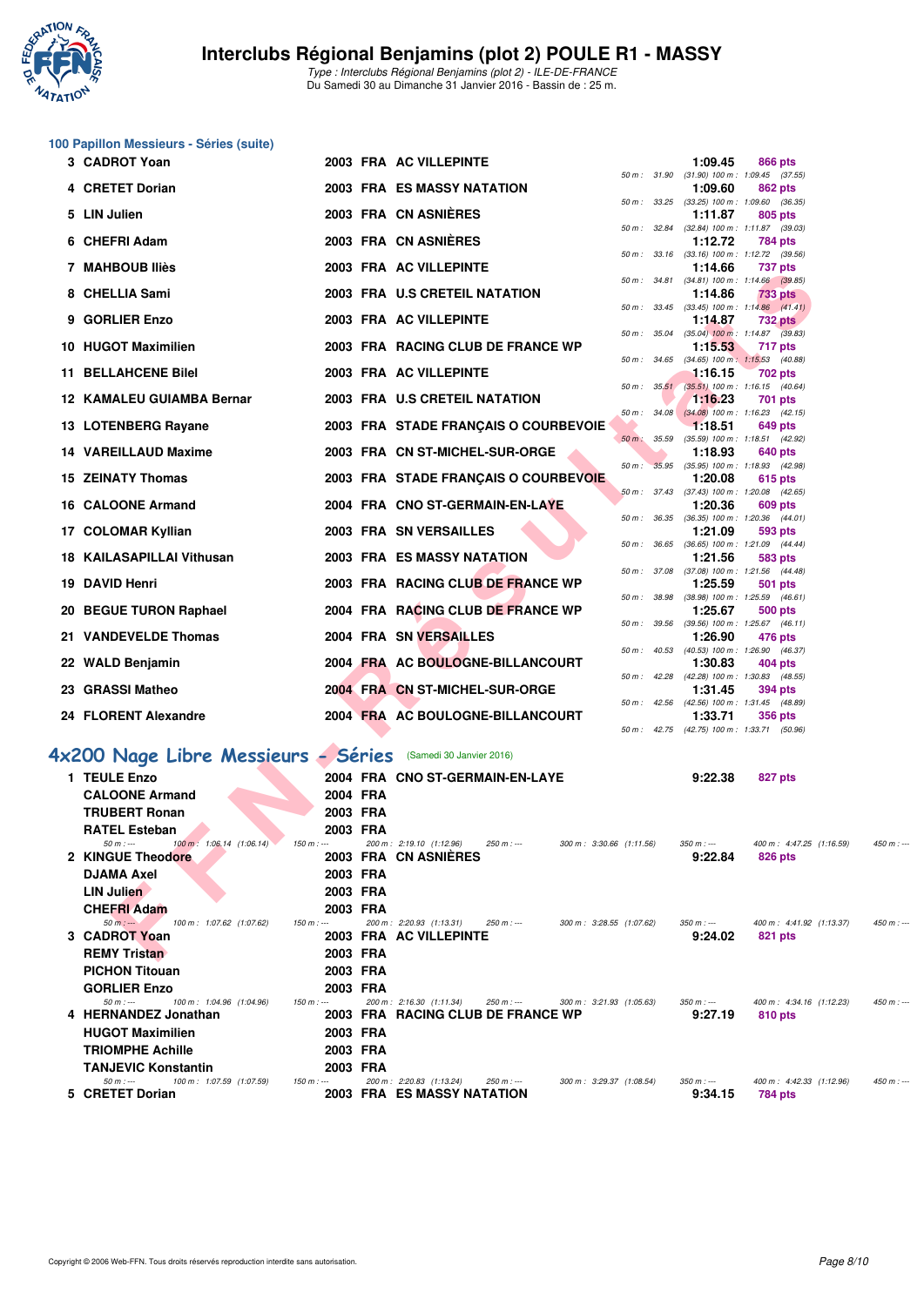

| 100 Papillon Messieurs - Séries (suite) |  |  |  |
|-----------------------------------------|--|--|--|
|-----------------------------------------|--|--|--|

| 3  | <b>CADROT Yoan</b>                                                       |          | 2003 FRA AC VILLEPINTE                                                                     |          |              | 1:09.45                                               | <b>866 pts</b> |                          |  |
|----|--------------------------------------------------------------------------|----------|--------------------------------------------------------------------------------------------|----------|--------------|-------------------------------------------------------|----------------|--------------------------|--|
|    | <b>CRETET Dorian</b>                                                     |          | <b>2003 FRA ES MASSY NATATION</b>                                                          |          | 50 m : 31.90 | $(31.90)$ 100 m : 1:09.45 $(37.55)$<br>1:09.60        | 862 pts        |                          |  |
|    |                                                                          |          |                                                                                            |          | 50 m : 33.25 | $(33.25)$ 100 m : 1:09.60 $(36.35)$                   |                |                          |  |
| 5  | <b>LIN Julien</b>                                                        |          | 2003 FRA CN ASNIERES                                                                       |          |              | 1:11.87                                               | 805 pts        |                          |  |
| 6. | <b>CHEFRI Adam</b>                                                       |          | 2003 FRA CN ASNIERES                                                                       |          | 50 m: 32.84  | (32.84) 100 m: 1:11.87 (39.03)<br>1:12.72             | <b>784 pts</b> |                          |  |
|    |                                                                          |          |                                                                                            |          |              | 50 m: 33.16 (33.16) 100 m: 1:12.72 (39.56)            |                |                          |  |
| 7  | <b>MAHBOUB Iliès</b>                                                     |          | 2003 FRA AC VILLEPINTE                                                                     |          | 50 m : 34.81 | 1:14.66<br>$(34.81)$ 100 m : 1:14.66 $(39.85)$        | <b>737 pts</b> |                          |  |
| 8  | <b>CHELLIA Sami</b>                                                      |          | 2003 FRA U.S CRETEIL NATATION                                                              |          |              | 1:14.86                                               | 733 pts        |                          |  |
|    |                                                                          |          |                                                                                            |          | 50 m : 33.45 | $(33.45)$ 100 m : 1:14.86 $(41.41)$                   |                |                          |  |
| 9  | <b>GORLIER Enzo</b>                                                      |          | 2003 FRA AC VILLEPINTE                                                                     |          | 50 m : 35.04 | 1:14.87<br>$(35.04)$ 100 m : 1:14.87 $(39.83)$        | <b>732 pts</b> |                          |  |
| 10 | <b>HUGOT Maximilien</b>                                                  |          | 2003 FRA RACING CLUB DE FRANCE WP                                                          |          |              | 1:15.53                                               | 717 pts        |                          |  |
| 11 | <b>BELLAHCENE Bilel</b>                                                  |          | 2003 FRA AC VILLEPINTE                                                                     |          | 50 m : 34.65 | $(34.65)$ 100 m : 1:15.53 $(40.88)$<br>1:16.15        | 702 pts        |                          |  |
|    |                                                                          |          |                                                                                            |          | 50 m: 35.51  | $(35.51)$ 100 m : 1:16.15 (40.64)                     |                |                          |  |
| 12 | <b>KAMALEU GUIAMBA Bernar</b>                                            |          | 2003 FRA U.S CRETEIL NATATION                                                              |          |              | 1:16.23                                               | <b>701 pts</b> |                          |  |
|    | 13 LOTENBERG Rayane                                                      |          | 2003 FRA STADE FRANÇAIS O COURBEVOIE                                                       |          | 50 m: 34.08  | $(34.08)$ 100 m : 1:16.23 $(42.15)$<br>1:18.51        | 649 pts        |                          |  |
|    |                                                                          |          |                                                                                            | $50 m$ : | 35.59        | (35.59) 100 m: 1:18.51 (42.92)                        |                |                          |  |
|    | <b>14 VAREILLAUD Maxime</b>                                              |          | 2003 FRA CN ST-MICHEL-SUR-ORGE                                                             | $50 m$ : | 35.95        | 1:18.93<br>(35.95) 100 m: 1:18.93 (42.98)             | 640 pts        |                          |  |
| 15 | <b>ZEINATY Thomas</b>                                                    |          | 2003 FRA STADE FRANÇAIS O COURBEVOIE                                                       |          |              | 1:20.08                                               | 615 pts        |                          |  |
|    |                                                                          |          |                                                                                            |          |              | 50 m: 37.43 (37.43) 100 m: 1:20.08                    |                | (42.65)                  |  |
| 16 | <b>CALOONE Armand</b>                                                    |          | 2004 FRA CNO ST-GERMAIN-EN-LAYE                                                            |          | 50 m: 36.35  | 1:20.36<br>(36.35) 100 m : 1:20.36                    | 609 pts        | (44.01)                  |  |
| 17 | <b>COLOMAR Kyllian</b>                                                   |          | 2003 FRA SN VERSAILLES                                                                     |          |              | 1:21.09                                               | 593 pts        |                          |  |
| 18 | <b>KAILASAPILLAI Vithusan</b>                                            |          | <b>2003 FRA ES MASSY NATATION</b>                                                          |          | 50 m: 36.65  | $(36.65)$ 100 m : 1:21.09 $(44.44)$<br>1:21.56        | 583 pts        |                          |  |
|    |                                                                          |          |                                                                                            |          | 50 m: 37.08  | (37.08) 100 m: 1:21.56 (44.48)                        |                |                          |  |
| 19 | <b>DAVID Henri</b>                                                       |          | 2003 FRA RACING CLUB DE FRANCE WP                                                          |          |              | 1:25.59                                               | <b>501 pts</b> |                          |  |
|    | 20 BEGUE TURON Raphael                                                   |          | 2004 FRA RACING CLUB DE FRANCE WP                                                          |          | 50 m: 38.98  | (38.98) 100 m: 1:25.59 (46.61)<br>1:25.67             | <b>500 pts</b> |                          |  |
|    |                                                                          |          |                                                                                            |          | 50 m: 39.56  | $(39.56)$ 100 m : 1:25.67 $(46.11)$                   |                |                          |  |
|    | 21 VANDEVELDE Thomas                                                     |          | <b>2004 FRA SN VERSAILLES</b>                                                              |          | 50 m: 40.53  | 1:26.90<br>(40.53) 100 m: 1:26.90 (46.37)             | 476 pts        |                          |  |
|    | 22 WALD Benjamin                                                         |          | 2004 FRA AC BOULOGNE-BILLANCOURT                                                           |          |              | 1:30.83                                               | 404 pts        |                          |  |
|    | 23 GRASSI Matheo                                                         |          | 2004 FRA CN ST-MICHEL-SUR-ORGE                                                             |          |              | 50 m: 42.28 (42.28) 100 m: 1:30.83 (48.55)<br>1:31.45 | 394 pts        |                          |  |
|    |                                                                          |          |                                                                                            |          | 50 m: 42.56  | (42.56) 100 m: 1:31.45 (48.89)                        |                |                          |  |
|    | 24 FLORENT Alexandre                                                     |          | 2004 FRA AC BOULOGNE-BILLANCOURT                                                           |          |              | 1:33.71                                               | <b>356 pts</b> |                          |  |
|    |                                                                          |          |                                                                                            |          | 50 m : 42.75 | (42.75) 100 m : 1:33.71 (50.96)                       |                |                          |  |
|    | 4x200 Nage Libre Messieurs - Séries                                      |          | (Samedi 30 Janvier 2016)                                                                   |          |              |                                                       |                |                          |  |
|    | 1 TEULE Enzo                                                             |          | 2004 FRA CNO ST-GERMAIN-EN-LAYE                                                            |          |              | 9:22.38                                               | 827 pts        |                          |  |
|    | <b>CALOONE Armand</b>                                                    | 2004 FRA |                                                                                            |          |              |                                                       |                |                          |  |
|    | <b>TRUBERT Ronan</b>                                                     | 2003 FRA |                                                                                            |          |              |                                                       |                |                          |  |
|    | <b>RATEL Esteban</b>                                                     | 2003 FRA |                                                                                            |          |              |                                                       |                |                          |  |
|    | $50 m: -$<br>100 m: 1:06.14 (1:06.14)<br>$150 m: -$<br>2 KINGUE Theodore |          | 200 m: 2:19.10 (1:12.96)<br>$250 m: -$<br>300 m: 3:30.66 (1:11.56)<br>2003 FRA CN ASNIERES |          |              | $350 m: -$<br>9:22.84                                 | <b>826 pts</b> | 400 m: 4:47.25 (1:16.59) |  |
|    | <b>DJAMA Axel</b>                                                        | 2003 FRA |                                                                                            |          |              |                                                       |                |                          |  |
|    | LIN Julien                                                               | 2003 FRA |                                                                                            |          |              |                                                       |                |                          |  |
|    | <b>CHEFRI Adam</b>                                                       | 2003 FRA |                                                                                            |          |              |                                                       |                |                          |  |
|    | 100 m: 1:07.62 (1:07.62)<br>$150 m: -$<br>$50 m: -$                      |          | 200 m: 2:20.93 (1:13.31)<br>250 m : ---<br>300 m: 3:28.55 (1:07.62)                        |          |              | $350 m : -$                                           |                | 400 m: 4:41.92 (1:13.37) |  |
|    | 3 CADROT Yoan                                                            |          | 2003 FRA AC VILLEPINTE                                                                     |          |              | 9:24.02                                               | 821 pts        |                          |  |
|    | <b>REMY Tristan</b>                                                      | 2003 FRA |                                                                                            |          |              |                                                       |                |                          |  |

| 1 TEULE Enzo                                           |          | 2004 FRA CNO ST-GERMAIN-EN-LAYE                                      | 9:22.38     | 827 pts                                 |
|--------------------------------------------------------|----------|----------------------------------------------------------------------|-------------|-----------------------------------------|
| <b>CALOONE Armand</b>                                  | 2004 FRA |                                                                      |             |                                         |
| <b>TRUBERT Ronan</b>                                   | 2003 FRA |                                                                      |             |                                         |
| <b>RATEL Esteban</b>                                   | 2003 FRA |                                                                      |             |                                         |
| $50 m : -$<br>100 m : 1:06.14 (1:06.14)<br>$150 m : -$ |          | 200 m : 2:19.10 (1:12.96)<br>300 m: 3:30.66 (1:11.56)<br>250 m : --- | $350 m : -$ | 400 m: 4:47.25 (1:16.59)<br>$450 m: -$  |
| 2 KINGUE Theodore                                      |          | 2003 FRA CN ASNIERES                                                 | 9:22.84     | 826 pts                                 |
| <b>DJAMA Axel</b>                                      | 2003 FRA |                                                                      |             |                                         |
| <b>LIN Julien</b>                                      | 2003 FRA |                                                                      |             |                                         |
| <b>CHEFRI Adam</b>                                     | 2003 FRA |                                                                      |             |                                         |
| $50 m: -$<br>100 m: 1:07.62 (1:07.62)<br>$150 m : -$   |          | 200 m : 2:20.93 (1:13.31)<br>300 m: 3:28.55 (1:07.62)<br>250 m : --- | $350 m : -$ | 400 m : 4:41.92 (1:13.37)<br>$450 m: -$ |
| 3 CADROT Yoan                                          |          | 2003 FRA AC VILLEPINTE                                               | 9:24.02     | 821 pts                                 |
| <b>REMY Tristan</b>                                    | 2003 FRA |                                                                      |             |                                         |
| <b>PICHON Titouan</b>                                  | 2003 FRA |                                                                      |             |                                         |
| <b>GORLIER Enzo</b>                                    | 2003 FRA |                                                                      |             |                                         |
| 100 m: 1:04.96 (1:04.96)<br>150 m : ---<br>$50 m : -$  |          | 200 m : 2:16.30 (1:11.34)<br>250 m : --- 300 m : 3:21.93 (1:05.63)   | 350 m : --- | 400 m: 4:34.16 (1:12.23)<br>$450 m: -$  |
| 4 HERNANDEZ Jonathan                                   |          | 2003 FRA RACING CLUB DE FRANCE WP                                    | 9:27.19     | 810 pts                                 |
| <b>HUGOT Maximilien</b>                                | 2003 FRA |                                                                      |             |                                         |
| <b>TRIOMPHE Achille</b>                                | 2003 FRA |                                                                      |             |                                         |
| <b>TANJEVIC Konstantin</b>                             | 2003 FRA |                                                                      |             |                                         |
| 100 m: 1:07.59 (1:07.59)<br>$150 m : -$<br>$50 m : -$  |          | 200 m: 2:20.83 (1:13.24)<br>250 m : ---<br>300 m: 3:29.37 (1:08.54)  | 350 m : --- | 400 m : 4:42.33 (1:12.96)<br>$450 m: -$ |
| 5 CRETET Dorian                                        |          | 2003 FRA ES MASSY NATATION                                           | 9:34.15     | 784 pts                                 |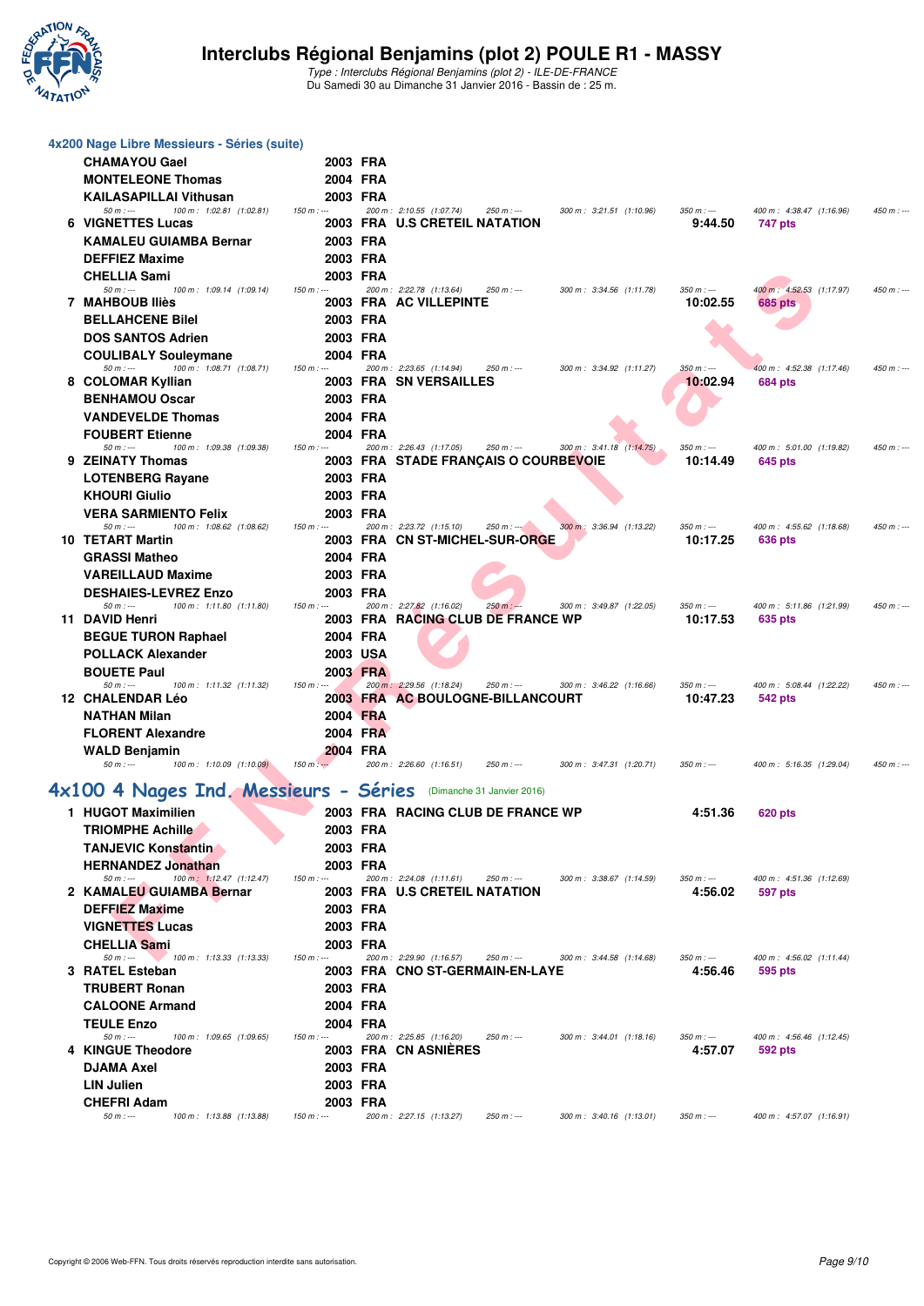

| 4x200 Nage Libre Messieurs - Séries (suite)                                     |             |                      |          |                                                              |             |                          |                         |                                     |            |
|---------------------------------------------------------------------------------|-------------|----------------------|----------|--------------------------------------------------------------|-------------|--------------------------|-------------------------|-------------------------------------|------------|
| <b>CHAMAYOU Gael</b>                                                            |             | 2003 FRA             |          |                                                              |             |                          |                         |                                     |            |
| <b>MONTELEONE Thomas</b>                                                        |             | 2004 FRA             |          |                                                              |             |                          |                         |                                     |            |
| <b>KAILASAPILLAI Vithusan</b>                                                   |             | 2003 FRA             |          | 200 m: 2:10.55 (1:07.74)                                     |             |                          | $350 m: -$              |                                     |            |
| $50 m: -$<br>100 m: 1:02.81 (1:02.81)<br>6 VIGNETTES Lucas                      | $150 m: -$  |                      |          | 2003 FRA U.S CRETEIL NATATION                                | $250 m : -$ | 300 m: 3:21.51 (1:10.96) | 9:44.50                 | 400 m: 4:38.47 (1:16.96)<br>747 pts | $450 m: -$ |
| <b>KAMALEU GUIAMBA Bernar</b>                                                   |             | 2003 FRA             |          |                                                              |             |                          |                         |                                     |            |
| <b>DEFFIEZ Maxime</b>                                                           |             | 2003 FRA             |          |                                                              |             |                          |                         |                                     |            |
| <b>CHELLIA Sami</b>                                                             |             | 2003 FRA             |          |                                                              |             |                          |                         |                                     |            |
| $50 m: -$<br>100 m: 1:09.14 (1:09.14)<br>7 MAHBOUB Iliès                        | $150 m: -$  |                      |          | 200 m: 2:22.78 (1:13.64)<br>2003 FRA AC VILLEPINTE           | $250 m: -$  | 300 m: 3:34.56 (1:11.78) | $350 m: -$<br>10:02.55  | 400 m: 4:52.53 (1:17.97)<br>685 pts | $450 m: -$ |
| <b>BELLAHCENE Bilel</b>                                                         |             | 2003 FRA             |          |                                                              |             |                          |                         |                                     |            |
| <b>DOS SANTOS Adrien</b>                                                        |             | 2003 FRA             |          |                                                              |             |                          |                         |                                     |            |
| <b>COULIBALY Souleymane</b>                                                     |             | 2004 FRA             |          |                                                              |             |                          |                         |                                     |            |
| 100 m: 1:08.71 (1:08.71)<br>$50 m: -$                                           | $150 m: -$  |                      |          | 200 m: 2:23.65 (1:14.94)                                     | $250 m: -$  | 300 m: 3:34.92 (1:11.27) | $350 m: -$              | 400 m: 4:52.38 (1:17.46)            | $450 m: -$ |
| 8 COLOMAR Kyllian                                                               |             |                      |          | 2003 FRA SN VERSAILLES                                       |             |                          | 10:02.94                | 684 pts                             |            |
| <b>BENHAMOU Oscar</b><br><b>VANDEVELDE Thomas</b>                               |             | 2003 FRA<br>2004 FRA |          |                                                              |             |                          |                         |                                     |            |
| <b>FOUBERT Etienne</b>                                                          |             | 2004 FRA             |          |                                                              |             |                          |                         |                                     |            |
| $50 m: -$<br>100 m: 1:09.38 (1:09.38)                                           | $150 m: -$  |                      |          | 200 m: 2:26.43 (1:17.05)                                     | $250 m : -$ | 300 m: 3:41.18 (1:14.75) | $350 m: -$              | 400 m: 5:01.00 (1:19.82)            | $450 m: -$ |
| 9 ZEINATY Thomas                                                                |             |                      |          | <b>2003 FRA STADE FRANÇAIS O COURBEVOIE</b>                  |             |                          | 10:14.49                | 645 pts                             |            |
| <b>LOTENBERG Rayane</b>                                                         |             | 2003 FRA             |          |                                                              |             |                          |                         |                                     |            |
| <b>KHOURI Giulio</b>                                                            |             | 2003 FRA             |          |                                                              |             |                          |                         |                                     |            |
| <b>VERA SARMIENTO Felix</b><br>$50 m: -$<br>100 m: 1:08.62 (1:08.62)            | $150 m : -$ | 2003 FRA             |          | 200 m: 2:23.72 (1:15.10)                                     | $250 m : -$ | 300 m: 3:36.94 (1:13.22) | $350 m : -$             | 400 m: 4:55.62 (1:18.68)            | $450 m: -$ |
| 10 TETART Martin                                                                |             |                      |          | 2003 FRA CN ST-MICHEL-SUR-ORGE                               |             |                          | 10:17.25                | 636 pts                             |            |
| <b>GRASSI Matheo</b>                                                            |             | 2004 FRA             |          |                                                              |             |                          |                         |                                     |            |
| <b>VAREILLAUD Maxime</b>                                                        |             | 2003 FRA             |          |                                                              |             |                          |                         |                                     |            |
| <b>DESHAIES-LEVREZ Enzo</b><br>$50 m: -$<br>100 m: 1:11.80 (1:11.80)            | $150 m: -$  | 2003 FRA             |          | 200 m: 2:27.82 (1:16.02)                                     | $250 m : -$ | 300 m: 3:49.87 (1:22.05) | $350 m : -$             | 400 m: 5:11.86 (1:21.99)            | $450 m: -$ |
| 11 DAVID Henri                                                                  |             |                      |          | 2003 FRA RACING CLUB DE FRANCE WP                            |             |                          | 10:17.53                | 635 pts                             |            |
| <b>BEGUE TURON Raphael</b>                                                      |             | 2004 FRA             |          |                                                              |             |                          |                         |                                     |            |
| <b>POLLACK Alexander</b>                                                        |             | 2003 USA             |          |                                                              |             |                          |                         |                                     |            |
| <b>BOUETE Paul</b>                                                              |             | 2003 FRA             |          |                                                              |             |                          |                         |                                     |            |
| $50 m$ : ---<br>100 m: 1:11.32 (1:11.32)<br>12 CHALENDAR Léo                    | $150 m: -$  |                      |          | 200 m: 2:29.56 (1:18.24)<br>2003 FRA AC BOULOGNE-BILLANCOURT | $250 m: -$  | 300 m: 3:46.22 (1:16.66) | $350 m : -$<br>10:47.23 | 400 m: 5:08.44 (1:22.22)<br>542 pts | $450 m: -$ |
| <b>NATHAN Milan</b>                                                             |             | 2004 FRA             |          |                                                              |             |                          |                         |                                     |            |
| <b>FLORENT Alexandre</b>                                                        |             |                      | 2004 FRA |                                                              |             |                          |                         |                                     |            |
| <b>WALD Benjamin</b>                                                            |             | 2004 FRA             |          |                                                              |             |                          |                         |                                     |            |
| $50 m: -$<br>100 m: 1:10.09 (1:10.09)                                           | $150 m: -$  |                      |          | 200 m: 2:26.60 (1:16.51)                                     | $250 m : -$ | 300 m: 3:47.31 (1:20.71) | $350 m : -$             | 400 m: 5:16.35 (1:29.04)            | $450 m: -$ |
| 4x100 4 Nages Ind. Messieurs - Séries (Dimanche 31 Janvier 2016)                |             |                      |          |                                                              |             |                          |                         |                                     |            |
| 1 HUGOT Maximilien                                                              |             |                      |          | 2003 FRA RACING CLUB DE FRANCE WP                            |             |                          | 4:51.36                 | 620 pts                             |            |
| <b>TRIOMPHE Achille</b>                                                         |             | 2003 FRA             |          |                                                              |             |                          |                         |                                     |            |
| <b>TANJEVIC Konstantin</b>                                                      |             | 2003 FRA             |          |                                                              |             |                          |                         |                                     |            |
| <b>HERNANDEZ Jonathan</b>                                                       |             | 2003 FRA             |          |                                                              |             |                          |                         |                                     |            |
| $100 \text{ m}$ : $1:12.47$ (1:12.47)<br>$50 m : -$<br>2 KAMALEU GUIAMBA Bernar | $150 m: -$  |                      |          | 200 m: 2:24.08 (1:11.61)<br>2003 FRA U.S CRETEIL NATATION    | $250 m : -$ | 300 m: 3:38.67 (1:14.59) | $350 m : -$<br>4:56.02  | 400 m: 4:51.36 (1:12.69)<br>597 pts |            |
| <b>DEFFIEZ Maxime</b>                                                           |             | 2003 FRA             |          |                                                              |             |                          |                         |                                     |            |
| <b>VIGNETTES Lucas</b>                                                          |             | 2003 FRA             |          |                                                              |             |                          |                         |                                     |            |
| <b>CHELLIA Sami</b>                                                             |             | 2003 FRA             |          |                                                              |             |                          |                         |                                     |            |
| $50 m : -$<br>100 m: 1:13.33 (1:13.33)<br>3 RATEL Esteban                       | $150 m: -$  |                      |          | 200 m: 2:29.90 (1:16.57)                                     | $250 m: -$  | 300 m: 3:44.58 (1:14.68) | $350 m : -$             | 400 m: 4:56.02 (1:11.44)            |            |
| <b>TRUBERT Ronan</b>                                                            |             | 2003 FRA             |          | 2003 FRA CNO ST-GERMAIN-EN-LAYE                              |             |                          | 4:56.46                 | 595 pts                             |            |
| <b>CALOONE Armand</b>                                                           |             | 2004 FRA             |          |                                                              |             |                          |                         |                                     |            |
| <b>TEULE Enzo</b>                                                               |             | 2004 FRA             |          |                                                              |             |                          |                         |                                     |            |
| $50 m: -$<br>100 m: 1:09.65 (1:09.65)                                           | $150 m: -$  |                      |          | 200 m: 2:25.85 (1:16.20)                                     | $250 m : -$ | 300 m: 3:44.01 (1:18.16) | $350 m : -$             | 400 m: 4:56.46 (1:12.45)            |            |
| 4 KINGUE Theodore                                                               |             |                      |          | 2003 FRA CN ASNIERES                                         |             |                          | 4:57.07                 | 592 pts                             |            |
| <b>DJAMA Axel</b>                                                               |             | 2003 FRA             |          |                                                              |             |                          |                         |                                     |            |
|                                                                                 |             |                      |          |                                                              |             |                          |                         |                                     |            |
| $50 m: -$<br>100 m: 1:13.88 (1:13.88)                                           | $150 m : -$ |                      |          | 200 m: 2:27.15 (1:13.27)                                     | 250 m : --- | 300 m: 3:40.16 (1:13.01) | $350 m : -$             | 400 m: 4:57.07 (1:16.91)            |            |
| <b>LIN Julien</b><br><b>CHEFRI Adam</b>                                         |             | 2003 FRA<br>2003 FRA |          |                                                              |             |                          |                         |                                     |            |